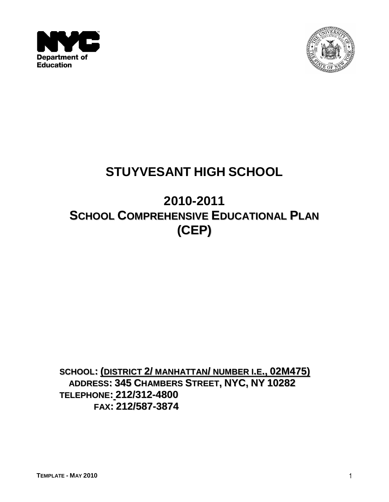



# **STUYVESANT HIGH SCHOOL**

# **2010-2011 SCHOOL COMPREHENSIVE EDUCATIONAL PLAN (CEP)**

**SCHOOL: (DISTRICT 2/ MANHATTAN/ NUMBER I.E., 02M475) ADDRESS: 345 CHAMBERS STREET, NYC, NY 10282 TELEPHONE: 212/312-4800 FAX: 212/587-3874**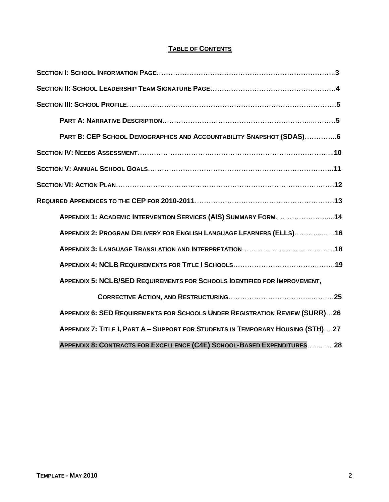#### **TABLE OF CONTENTS**

| PART B: CEP SCHOOL DEMOGRAPHICS AND ACCOUNTABILITY SNAPSHOT (SDAS)6                |  |
|------------------------------------------------------------------------------------|--|
|                                                                                    |  |
|                                                                                    |  |
|                                                                                    |  |
|                                                                                    |  |
| APPENDIX 1: ACADEMIC INTERVENTION SERVICES (AIS) SUMMARY FORM14                    |  |
| APPENDIX 2: PROGRAM DELIVERY FOR ENGLISH LANGUAGE LEARNERS (ELLS)16                |  |
|                                                                                    |  |
|                                                                                    |  |
| <b>APPENDIX 5: NCLB/SED REQUIREMENTS FOR SCHOOLS IDENTIFIED FOR IMPROVEMENT,</b>   |  |
|                                                                                    |  |
| <b>APPENDIX 6: SED REQUIREMENTS FOR SCHOOLS UNDER REGISTRATION REVIEW (SURR)26</b> |  |
| APPENDIX 7: TITLE I, PART A - SUPPORT FOR STUDENTS IN TEMPORARY HOUSING (STH)27    |  |
| APPENDIX 8: CONTRACTS FOR EXCELLENCE (C4E) SCHOOL-BASED EXPENDITURES28             |  |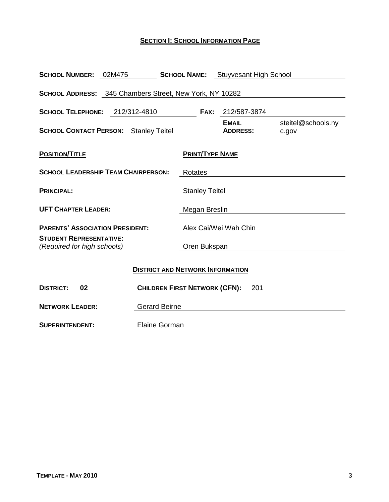#### **SECTION I: SCHOOL INFORMATION PAGE**

| <b>SCHOOL NUMBER: 02M475</b>                                  |                                         |                        | <b>SCHOOL NAME:</b> Stuyvesant High School |                             |  |  |
|---------------------------------------------------------------|-----------------------------------------|------------------------|--------------------------------------------|-----------------------------|--|--|
| SCHOOL ADDRESS: 345 Chambers Street, New York, NY 10282       |                                         |                        |                                            |                             |  |  |
| <b>SCHOOL TELEPHONE:</b>                                      | 212/312-4810                            | FAX:                   | 212/587-3874                               |                             |  |  |
| <b>SCHOOL CONTACT PERSON:</b> Stanley Teitel                  |                                         |                        | <b>EMAIL</b><br><b>ADDRESS:</b>            | steitel@schools.ny<br>c.gov |  |  |
| <b>POSITION/TITLE</b>                                         |                                         | <b>PRINT/TYPE NAME</b> |                                            |                             |  |  |
| <b>SCHOOL LEADERSHIP TEAM CHAIRPERSON:</b>                    |                                         | Rotates                |                                            |                             |  |  |
| <b>PRINCIPAL:</b>                                             |                                         | <b>Stanley Teitel</b>  |                                            |                             |  |  |
| <b>UFT CHAPTER LEADER:</b>                                    |                                         | Megan Breslin          |                                            |                             |  |  |
| <b>PARENTS' ASSOCIATION PRESIDENT:</b>                        |                                         | Alex Cai/Wei Wah Chin  |                                            |                             |  |  |
| <b>STUDENT REPRESENTATIVE:</b><br>(Required for high schools) |                                         | Oren Bukspan           |                                            |                             |  |  |
|                                                               | <b>DISTRICT AND NETWORK INFORMATION</b> |                        |                                            |                             |  |  |
| <b>DISTRICT:</b><br>02                                        | <b>CHILDREN FIRST NETWORK (CFN):</b>    |                        | - 201                                      |                             |  |  |
| <b>NETWORK LEADER:</b>                                        | <b>Gerard Beirne</b>                    |                        |                                            |                             |  |  |
| <b>SUPERINTENDENT:</b>                                        | Elaine Gorman                           |                        |                                            |                             |  |  |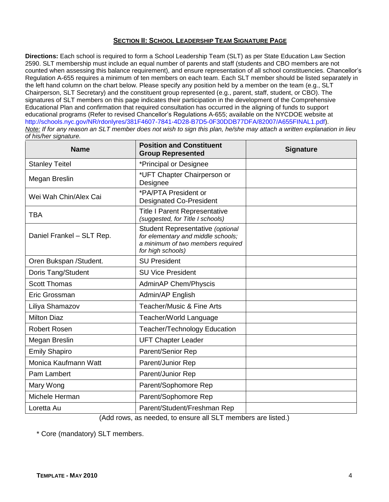#### **SECTION II: SCHOOL LEADERSHIP TEAM SIGNATURE PAGE**

**Directions:** Each school is required to form a School Leadership Team (SLT) as per State Education Law Section 2590. SLT membership must include an equal number of parents and staff (students and CBO members are not counted when assessing this balance requirement), and ensure representation of all school constituencies. Chancellor's Regulation A-655 requires a minimum of ten members on each team. Each SLT member should be listed separately in the left hand column on the chart below. Please specify any position held by a member on the team (e.g., SLT Chairperson, SLT Secretary) and the constituent group represented (e.g., parent, staff, student, or CBO). The signatures of SLT members on this page indicates their participation in the development of the Comprehensive Educational Plan and confirmation that required consultation has occurred in the aligning of funds to support educational programs (Refer to revised Chancellor's Regulations A-655; available on the NYCDOE website at http://schools.nyc.gov/NR/rdonlyres/381F4607-7841-4D28-B7D5-0F30DDB77DFA/82007/A655FINAL1.pdf). *Note: If for any reason an SLT member does not wish to sign this plan, he/she may attach a written explanation in lieu of his/her signature.*

| <b>Name</b>               | <b>Position and Constituent</b><br><b>Group Represented</b>                                                                      | <b>Signature</b> |
|---------------------------|----------------------------------------------------------------------------------------------------------------------------------|------------------|
| <b>Stanley Teitel</b>     | *Principal or Designee                                                                                                           |                  |
| Megan Breslin             | *UFT Chapter Chairperson or<br>Designee                                                                                          |                  |
| Wei Wah Chin/Alex Cai     | *PA/PTA President or<br><b>Designated Co-President</b>                                                                           |                  |
| <b>TBA</b>                | <b>Title I Parent Representative</b><br>(suggested, for Title I schools)                                                         |                  |
| Daniel Frankel - SLT Rep. | Student Representative (optional<br>for elementary and middle schools;<br>a minimum of two members required<br>for high schools) |                  |
| Oren Bukspan /Student.    | <b>SU President</b>                                                                                                              |                  |
| Doris Tang/Student        | <b>SU Vice President</b>                                                                                                         |                  |
| <b>Scott Thomas</b>       | <b>AdminAP Chem/Physcis</b>                                                                                                      |                  |
| Eric Grossman             | Admin/AP English                                                                                                                 |                  |
| Liliya Shamazov           | <b>Teacher/Music &amp; Fine Arts</b>                                                                                             |                  |
| <b>Milton Diaz</b>        | Teacher/World Language                                                                                                           |                  |
| <b>Robert Rosen</b>       | <b>Teacher/Technology Education</b>                                                                                              |                  |
| Megan Breslin             | <b>UFT Chapter Leader</b>                                                                                                        |                  |
| <b>Emily Shapiro</b>      | Parent/Senior Rep                                                                                                                |                  |
| Monica Kaufmann Watt      | Parent/Junior Rep                                                                                                                |                  |
| Pam Lambert               | Parent/Junior Rep                                                                                                                |                  |
| Mary Wong                 | Parent/Sophomore Rep                                                                                                             |                  |
| Michele Herman            | Parent/Sophomore Rep                                                                                                             |                  |
| Loretta Au                | Parent/Student/Freshman Rep                                                                                                      |                  |

(Add rows, as needed, to ensure all SLT members are listed.)

\* Core (mandatory) SLT members.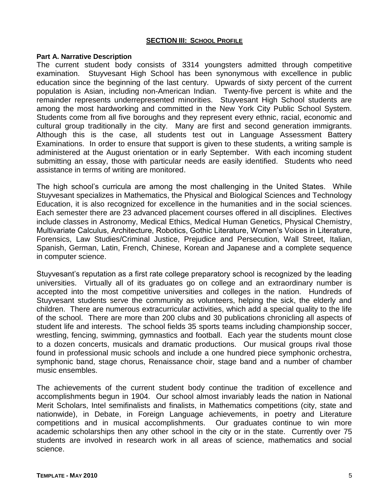#### **SECTION III: SCHOOL PROFILE**

#### **Part A. Narrative Description**

The current student body consists of 3314 youngsters admitted through competitive examination. Stuyvesant High School has been synonymous with excellence in public education since the beginning of the last century. Upwards of sixty percent of the current population is Asian, including non-American Indian. Twenty-five percent is white and the remainder represents underrepresented minorities. Stuyvesant High School students are among the most hardworking and committed in the New York City Public School System. Students come from all five boroughs and they represent every ethnic, racial, economic and cultural group traditionally in the city. Many are first and second generation immigrants. Although this is the case, all students test out in Language Assessment Battery Examinations. In order to ensure that support is given to these students, a writing sample is administered at the August orientation or in early September. With each incoming student submitting an essay, those with particular needs are easily identified. Students who need assistance in terms of writing are monitored.

The high school's curricula are among the most challenging in the United States. While Stuyvesant specializes in Mathematics, the Physical and Biological Sciences and Technology Education, it is also recognized for excellence in the humanities and in the social sciences. Each semester there are 23 advanced placement courses offered in all disciplines. Electives include classes in Astronomy, Medical Ethics, Medical Human Genetics, Physical Chemistry, Multivariate Calculus, Architecture, Robotics, Gothic Literature, Women's Voices in Literature, Forensics, Law Studies/Criminal Justice, Prejudice and Persecution, Wall Street, Italian, Spanish, German, Latin, French, Chinese, Korean and Japanese and a complete sequence in computer science.

Stuyvesant's reputation as a first rate college preparatory school is recognized by the leading universities. Virtually all of its graduates go on college and an extraordinary number is accepted into the most competitive universities and colleges in the nation. Hundreds of Stuyvesant students serve the community as volunteers, helping the sick, the elderly and children. There are numerous extracurricular activities, which add a special quality to the life of the school. There are more than 200 clubs and 30 publications chronicling all aspects of student life and interests. The school fields 35 sports teams including championship soccer, wrestling, fencing, swimming, gymnastics and football. Each year the students mount close to a dozen concerts, musicals and dramatic productions. Our musical groups rival those found in professional music schools and include a one hundred piece symphonic orchestra, symphonic band, stage chorus, Renaissance choir, stage band and a number of chamber music ensembles.

The achievements of the current student body continue the tradition of excellence and accomplishments begun in 1904. Our school almost invariably leads the nation in National Merit Scholars, Intel semifinalists and finalists, in Mathematics competitions (city, state and nationwide), in Debate, in Foreign Language achievements, in poetry and Literature competitions and in musical accomplishments. Our graduates continue to win more academic scholarships then any other school in the city or in the state. Currently over 75 students are involved in research work in all areas of science, mathematics and social science.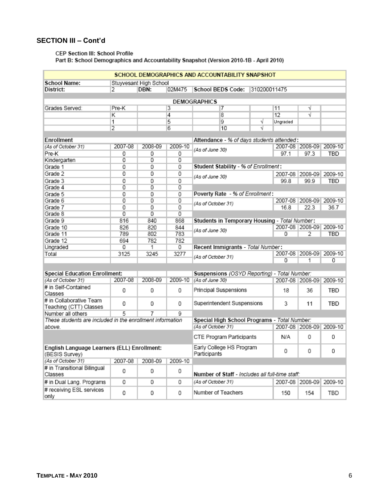### **SECTION III – Cont'd**

#### CEP Section III: School Profile

Part B: School Demographics and Accountability Snapshot (Version 2010-1B - April 2010)

|                                                               |                     |                |                | SCHOOL DEMOGRAPHICS AND ACCOUNTABILITY SNAPSHOT |              |                 |                         |                         |
|---------------------------------------------------------------|---------------------|----------------|----------------|-------------------------------------------------|--------------|-----------------|-------------------------|-------------------------|
| <b>School Name:</b><br>Stuyvesant High School                 |                     |                |                |                                                 |              |                 |                         |                         |
| District:                                                     | $\overline{2}$      | DBN:           | 02M475         | <b>School BEDS Code:</b>                        | 310200011475 |                 |                         |                         |
| <b>DEMOGRAPHICS</b>                                           |                     |                |                |                                                 |              |                 |                         |                         |
| Grades Served:                                                | Pre-K               |                | 3              |                                                 |              | 11              | V                       |                         |
|                                                               |                     |                |                | 7<br>8                                          |              | 12              | V                       |                         |
|                                                               | Κ                   |                | 4<br>5         | 9                                               | V            |                 |                         |                         |
|                                                               | 1<br>$\overline{2}$ |                | 6              | 10                                              | V            | Ungraded        |                         |                         |
|                                                               |                     |                |                |                                                 |              |                 |                         |                         |
| Enrollment                                                    |                     |                |                | Attendance - % of days students attended:       |              |                 |                         |                         |
| (As of October 31)                                            | 2007-08             | 2008-09        | 2009-10        | 2007-08 2008-09                                 |              |                 |                         | 2009-10                 |
| Pre-K                                                         | 0                   | 0              | 0              | (As of June 30)                                 |              | 97.1            | 97.3                    | TBD                     |
| Kindergarten                                                  | $\overline{0}$      | $\overline{0}$ | o              |                                                 |              |                 |                         |                         |
| Grade 1                                                       | 0                   | 0              | 0              | Student Stability - % of Enrollment:            |              |                 |                         |                         |
| Grade 2                                                       | 0                   | 0              | 0              |                                                 |              |                 | 2007-08 2008-09         | 2009-10                 |
| Grade 3                                                       | 0                   | 0              | 0              | (As of June 30)                                 |              | 99.8            | 99.9                    | TBD                     |
| Grade 4                                                       | $\overline{0}$      | $\overline{0}$ | $\overline{0}$ |                                                 |              |                 |                         |                         |
| Grade 5                                                       | 0                   | 0              | 0              | Poverty Rate - % of Enrollment:                 |              |                 |                         |                         |
| Grade 6                                                       | $\overline{0}$      | $\overline{0}$ | $\overline{0}$ |                                                 |              |                 |                         | 2007-08 2008-09 2009-10 |
| Grade 7                                                       | 0                   | 0              | 0              | (As of October 31)                              |              | 16.8            | 22.3                    | 36.7                    |
| Grade 8                                                       | $\overline{0}$      | $\overline{0}$ | $\overline{0}$ |                                                 |              |                 |                         |                         |
| Grade 9                                                       | 816                 | 840            | 868            | Students in Temporary Housing - Total Number:   |              |                 |                         |                         |
| Grade 10                                                      | 826                 | 820            | 844            |                                                 |              | 2007-08 2008-09 | 2009-10                 |                         |
| Grade 11                                                      | 789                 | 802            | 783            | (As of June 30)                                 |              | $\overline{0}$  | 2                       | <b>TBD</b>              |
| Grade 12                                                      | 694                 | 782            | 782            |                                                 |              |                 |                         |                         |
| Ungraded                                                      | 0                   | 1              | 0              | Recent Immigrants - Total Number:               |              |                 |                         |                         |
| Total                                                         | 3125                | 3245           | 3277           |                                                 |              |                 | 2007-08 2008-09         | 2009-10                 |
|                                                               |                     |                |                | (As of October 31)                              |              | $\Omega$        | 1                       | 0                       |
|                                                               |                     |                |                |                                                 |              |                 |                         |                         |
| <b>Special Education Enrollment:</b>                          |                     |                |                | Suspensions (OSYD Reporting) - Total Number:    |              |                 |                         |                         |
| (As of October 31)                                            | 2007-08             | 2008-09        | 2009-10        | (As of June 30)                                 |              |                 | 2007-08 2008-09 2009-10 |                         |
| # in Self-Contained                                           |                     |                |                |                                                 |              |                 |                         |                         |
| Classes                                                       | 0                   | 0              | 0              | Principal Suspensions                           |              | 18              | 36                      | TBD                     |
| # in Collaborative Team                                       | 0                   | 0              | 0              | Superintendent Suspensions                      |              | 3               | 11                      | TBD                     |
| Teaching (CTT) Classes                                        |                     |                |                |                                                 |              |                 |                         |                         |
| Number all others                                             | 5                   | 7              | Q              |                                                 |              |                 |                         |                         |
| These students are included in the enrollment information     |                     |                |                | Special High School Programs - Total Number:    |              |                 |                         |                         |
| above.                                                        |                     |                |                | (As of October 31)                              |              |                 | 2007-08 2008-09         | 2009-10                 |
|                                                               |                     |                |                | CTE Program Participants                        |              | N/A             | 0                       | 0                       |
| English Language Learners (ELL) Enrollment:<br>(BESIS Survey) |                     |                |                | Early College HS Program<br>Participants        |              | 0               | 0                       | $\Omega$                |
| (As of October 31)                                            | 2007-08             | 2008-09        | 2009-10        |                                                 |              |                 |                         |                         |
| # in Transitional Bilingual                                   |                     |                |                |                                                 |              |                 |                         |                         |
| Classes                                                       | 0                   | 0              | 0              | Number of Staff - Includes all full-time staff: |              |                 |                         |                         |
| # in Dual Lang. Programs                                      | 0                   | 0              | 0              | (As of October 31)                              |              |                 | 2007-08 2008-09         | 2009-10                 |
| # receiving ESL services<br>only                              | 0                   | 0              | 0              | Number of Teachers                              |              | 150             | 154                     | TBD                     |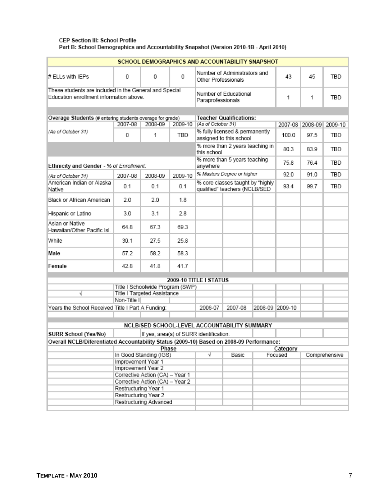#### CEP Section III: School Profile Part B: School Demographics and Accountability Snapshot (Version 2010-1B - April 2010)

| SCHOOL DEMOGRAPHICS AND ACCOUNTABILITY SNAPSHOT                                                  |                      |                                         |         |                                                                   |                                                           |                 |          |                 |               |
|--------------------------------------------------------------------------------------------------|----------------------|-----------------------------------------|---------|-------------------------------------------------------------------|-----------------------------------------------------------|-----------------|----------|-----------------|---------------|
| # ELLs with IEPs                                                                                 | 0                    | 0                                       | 0       | Number of Administrators and<br>Other Professionals               |                                                           | 43              | 45       | TBD             |               |
| These students are included in the General and Special<br>Education enrollment information above |                      |                                         |         | Paraprofessionals                                                 | Number of Educational                                     |                 | 1        | 1               | TBD           |
|                                                                                                  |                      |                                         |         |                                                                   |                                                           |                 |          |                 |               |
| Overage Students (# entering students overage for grade)                                         |                      |                                         |         | <b>Teacher Qualifications:</b><br>(As of October 31)              |                                                           |                 |          |                 |               |
|                                                                                                  | 2007-08              | 2008-09                                 | 2009-10 |                                                                   |                                                           |                 |          | 2007-08 2008-09 | 2009-10       |
| (As of October 31)                                                                               | 0                    | 1                                       | TBD     |                                                                   | % fully licensed & permanently<br>assigned to this school |                 | 100.0    | 97.5            | TBD           |
|                                                                                                  |                      |                                         |         | this school                                                       | % more than 2 years teaching in                           |                 | 80.3     | 83.9            | TBD           |
| Ethnicity and Gender - % of Enrollment:                                                          |                      |                                         |         | anywhere                                                          | % more than 5 years teaching                              |                 | 75.8     | 76.4            | TBD           |
| (As of October 31)                                                                               | 2007-08              | 2008-09                                 | 2009-10 |                                                                   | % Masters Degree or higher                                |                 | 92.0     | 91.0            | TBD           |
| American Indian or Alaska<br>Native                                                              | 0.1                  | 0.1                                     | 0.1     | % core classes taught by "highly<br>qualified" teachers (NCLB/SED |                                                           | 93.4            | 99.7     | TBD             |               |
| Black or African American                                                                        | 2.0                  | 2.0                                     | 1.8     |                                                                   |                                                           |                 |          |                 |               |
| Hispanic or Latino                                                                               | 3.0                  | 3.1                                     | 28      |                                                                   |                                                           |                 |          |                 |               |
| Asian or Native<br>Hawaiian/Other Pacific Isl.                                                   | 64.8                 | 67.3                                    | 69.3    |                                                                   |                                                           |                 |          |                 |               |
| White                                                                                            | 30.1                 | 27.5                                    | 25.8    |                                                                   |                                                           |                 |          |                 |               |
| Male                                                                                             | 57.2                 | 58.2                                    | 58.3    |                                                                   |                                                           |                 |          |                 |               |
| Female                                                                                           | 42.8                 | 41.8                                    | 41.7    |                                                                   |                                                           |                 |          |                 |               |
| 2009-10 TITLE I STATUS                                                                           |                      |                                         |         |                                                                   |                                                           |                 |          |                 |               |
| Title I Schoolwide Program (SWP)                                                                 |                      |                                         |         |                                                                   |                                                           |                 |          |                 |               |
| V                                                                                                |                      | Title I Targeted Assistance             |         |                                                                   |                                                           |                 |          |                 |               |
|                                                                                                  | Non-Title II         |                                         |         |                                                                   |                                                           |                 |          |                 |               |
| Years the School Received Title I Part A Funding:                                                |                      |                                         |         | 2006-07                                                           | 2007-08                                                   | 2008-09 2009-10 |          |                 |               |
|                                                                                                  |                      |                                         |         |                                                                   | NCLB/SED SCHOOL-LEVEL ACCOUNTABILITY SUMMARY              |                 |          |                 |               |
| SURR School (Yes/No)                                                                             |                      | If yes, area(s) of SURR identification: |         |                                                                   |                                                           |                 |          |                 |               |
| Overall NCLB/Diferentiated Accountability Status (2009-10) Based on 2008-09 Performance:         |                      |                                         |         |                                                                   |                                                           |                 |          |                 |               |
|                                                                                                  |                      | Phase                                   |         |                                                                   |                                                           |                 | Category |                 |               |
|                                                                                                  |                      | In Good Standing (IGS)                  |         | √                                                                 | Basic                                                     |                 | Focused  |                 | Comprehensive |
|                                                                                                  | Improvement Year 1   |                                         |         |                                                                   |                                                           |                 |          |                 |               |
|                                                                                                  | Improvement Year 2   | Corrective Action (CA) - Year 1         |         |                                                                   |                                                           |                 |          |                 |               |
|                                                                                                  |                      | Corrective Action (CA) - Year 2         |         |                                                                   |                                                           |                 |          |                 |               |
|                                                                                                  | Restructuring Year 1 |                                         |         |                                                                   |                                                           |                 |          |                 |               |
|                                                                                                  | Restructuring Year 2 |                                         |         |                                                                   |                                                           |                 |          |                 |               |
|                                                                                                  |                      | Restructuring Advanced                  |         |                                                                   |                                                           |                 |          |                 |               |
|                                                                                                  |                      |                                         |         |                                                                   |                                                           |                 |          |                 |               |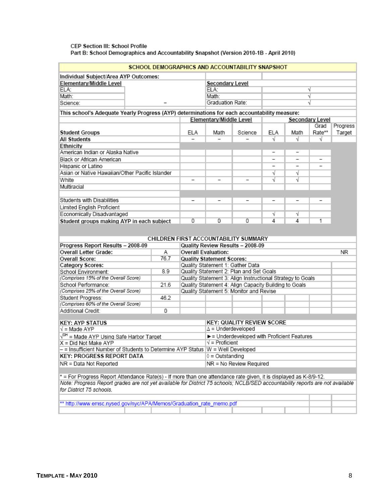#### CEP Section III: School Profile Part B: School Demographics and Accountability Snapshot (Version 2010-1B - April 2010)

| SCHOOL DEMOGRAPHICS AND ACCOUNTABILITY SNAPSHOT                                                                                                           |      |                                                                     |                                           |                                                            |     |      |                 |                    |
|-----------------------------------------------------------------------------------------------------------------------------------------------------------|------|---------------------------------------------------------------------|-------------------------------------------|------------------------------------------------------------|-----|------|-----------------|--------------------|
| Individual Subject/Area AYP Outcomes:                                                                                                                     |      |                                                                     |                                           |                                                            |     |      |                 |                    |
| Elementary/Middle Level                                                                                                                                   |      |                                                                     | <b>Secondary Level</b>                    |                                                            |     |      |                 |                    |
| ELA:                                                                                                                                                      |      |                                                                     | ELA:                                      |                                                            |     |      |                 |                    |
| Math:                                                                                                                                                     |      |                                                                     | Math:                                     |                                                            |     |      | V               |                    |
| Science:                                                                                                                                                  |      |                                                                     | Graduation Rate:                          |                                                            |     |      |                 |                    |
| This school's Adequate Yearly Progress (AYP) determinations for each accountability measure:                                                              |      |                                                                     |                                           |                                                            |     |      |                 |                    |
|                                                                                                                                                           |      |                                                                     | Elementary/Middle Level                   |                                                            |     |      | Secondary Level |                    |
| <b>Student Groups</b>                                                                                                                                     |      | <b>ELA</b>                                                          | Math                                      | Science                                                    | ELA | Math | Grad<br>Rate**  | Progress<br>Target |
| All Students                                                                                                                                              |      |                                                                     |                                           |                                                            | v   | -V   | V               |                    |
| Ethnicity                                                                                                                                                 |      |                                                                     |                                           |                                                            |     |      |                 |                    |
| American Indian or Alaska Native                                                                                                                          |      |                                                                     |                                           |                                                            | -   | -    |                 |                    |
| Black or African American                                                                                                                                 |      |                                                                     |                                           |                                                            |     |      |                 |                    |
| Hispanic or Latino                                                                                                                                        |      |                                                                     |                                           |                                                            |     |      |                 |                    |
| Asian or Native Hawaiian/Other Pacific Islander                                                                                                           |      |                                                                     |                                           |                                                            | V   | V    |                 |                    |
| White                                                                                                                                                     |      |                                                                     |                                           |                                                            | √   | V    |                 |                    |
| Multiracial                                                                                                                                               |      |                                                                     |                                           |                                                            |     |      |                 |                    |
|                                                                                                                                                           |      |                                                                     |                                           |                                                            |     |      |                 |                    |
| Students with Disabilities                                                                                                                                |      |                                                                     |                                           |                                                            |     |      |                 |                    |
| Limited English Proficient                                                                                                                                |      |                                                                     |                                           |                                                            |     |      |                 |                    |
| Economically Disadvantaged                                                                                                                                |      |                                                                     |                                           |                                                            | √   | V    |                 |                    |
| Student groups making AYP in each subject                                                                                                                 |      | 0                                                                   | $\overline{0}$                            | 0                                                          | 4   | 4    | 1               |                    |
|                                                                                                                                                           |      |                                                                     |                                           | CHILDREN FIRST ACCOUNTABILITY SUMMARY                      |     |      |                 |                    |
| Progress Report Results - 2008-09                                                                                                                         |      |                                                                     |                                           | Quality Review Results - 2008-09                           |     |      |                 |                    |
| Overall Letter Grade:                                                                                                                                     |      |                                                                     |                                           |                                                            |     |      | <b>NR</b>       |                    |
| Overall Score:                                                                                                                                            | 76.7 | <b>Overall Evaluation:</b><br>Α<br><b>Quality Statement Scores:</b> |                                           |                                                            |     |      |                 |                    |
| Category Scores:                                                                                                                                          |      |                                                                     |                                           | Quality Statement 1: Gather Data                           |     |      |                 |                    |
| School Environment:                                                                                                                                       | 8.9  |                                                                     |                                           | Quality Statement 2: Plan and Set Goals                    |     |      |                 |                    |
| (Comprises 15% of the Overall Score)                                                                                                                      |      |                                                                     |                                           | Quality Statement 3: Align Instructional Strategy to Goals |     |      |                 |                    |
| School Performance:                                                                                                                                       | 21.6 |                                                                     |                                           | Quality Statement 4: Align Capacity Building to Goals      |     |      |                 |                    |
| (Comprises 25% of the Overall Score)                                                                                                                      |      |                                                                     |                                           | Quality Statement 5: Monitor and Revise                    |     |      |                 |                    |
| Student Progress:                                                                                                                                         | 46.2 |                                                                     |                                           |                                                            |     |      |                 |                    |
| (Comprises 60% of the Overall Score)                                                                                                                      |      |                                                                     |                                           |                                                            |     |      |                 |                    |
| Additional Credit:                                                                                                                                        | 0    |                                                                     |                                           |                                                            |     |      |                 |                    |
|                                                                                                                                                           |      |                                                                     |                                           |                                                            |     |      |                 |                    |
| <b>KEY: AYP STATUS</b>                                                                                                                                    |      |                                                                     | <b>KEY: QUALITY REVIEW SCORE</b>          |                                                            |     |      |                 |                    |
| √ = Made AYP                                                                                                                                              |      |                                                                     | $\Delta$ = Underdeveloped                 |                                                            |     |      |                 |                    |
| √ <sup>sH</sup> = Made AYP Using Safe Harbor Target                                                                                                       |      |                                                                     | E Underdeveloped with Proficient Features |                                                            |     |      |                 |                    |
| X = Did Not Make AYP                                                                                                                                      |      |                                                                     | $\sqrt{}$ = Proficient                    |                                                            |     |      |                 |                    |
| - = Insufficient Number of Students to Determine AYP Status  W = Well Developed                                                                           |      |                                                                     |                                           |                                                            |     |      |                 |                    |
| <b>KEY: PROGRESS REPORT DATA</b>                                                                                                                          |      |                                                                     | $0 =$ Outstanding                         |                                                            |     |      |                 |                    |
| NR = No Review Required<br>NR = Data Not Reported                                                                                                         |      |                                                                     |                                           |                                                            |     |      |                 |                    |
|                                                                                                                                                           |      |                                                                     |                                           |                                                            |     |      |                 |                    |
| * = For Progress Report Attendance Rate(s) - If more than one attendance rate given, it is displayed as K-8/9-12.                                         |      |                                                                     |                                           |                                                            |     |      |                 |                    |
| Note: Progress Report grades are not yet available for District 75 schools; NCLB/SED accountability reports are not available<br>for District 75 schools. |      |                                                                     |                                           |                                                            |     |      |                 |                    |
|                                                                                                                                                           |      |                                                                     |                                           |                                                            |     |      |                 |                    |
| ** http://www.emsc.nysed.gov/nyc/APA/Memos/Graduation_rate_memo.pdf                                                                                       |      |                                                                     |                                           |                                                            |     |      |                 |                    |
|                                                                                                                                                           |      |                                                                     |                                           |                                                            |     |      |                 |                    |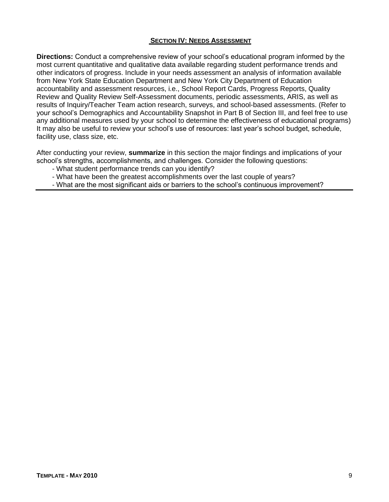#### **SECTION IV: NEEDS ASSESSMENT**

**Directions:** Conduct a comprehensive review of your school's educational program informed by the most current quantitative and qualitative data available regarding student performance trends and other indicators of progress. Include in your needs assessment an analysis of information available from New York State Education Department and New York City Department of Education accountability and assessment resources, i.e., School Report Cards, Progress Reports, Quality Review and Quality Review Self-Assessment documents, periodic assessments, ARIS, as well as results of Inquiry/Teacher Team action research, surveys, and school-based assessments. (Refer to your school's Demographics and Accountability Snapshot in Part B of Section III, and feel free to use any additional measures used by your school to determine the effectiveness of educational programs) It may also be useful to review your school's use of resources: last year's school budget, schedule, facility use, class size, etc.

After conducting your review, **summarize** in this section the major findings and implications of your school's strengths, accomplishments, and challenges. Consider the following questions:

- What student performance trends can you identify?
- What have been the greatest accomplishments over the last couple of years?
- What are the most significant aids or barriers to the school's continuous improvement?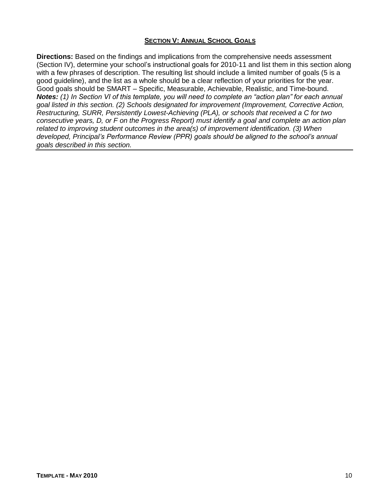#### **SECTION V: ANNUAL SCHOOL GOALS**

**Directions:** Based on the findings and implications from the comprehensive needs assessment (Section IV), determine your school's instructional goals for 2010-11 and list them in this section along with a few phrases of description. The resulting list should include a limited number of goals (5 is a good guideline), and the list as a whole should be a clear reflection of your priorities for the year. Good goals should be SMART – Specific, Measurable, Achievable, Realistic, and Time-bound. *Notes: (1) In Section VI of this template, you will need to complete an "action plan" for each annual goal listed in this section. (2) Schools designated for improvement (Improvement, Corrective Action, Restructuring, SURR, Persistently Lowest-Achieving (PLA), or schools that received a C for two consecutive years, D, or F on the Progress Report) must identify a goal and complete an action plan related to improving student outcomes in the area(s) of improvement identification. (3) When developed, Principal's Performance Review (PPR) goals should be aligned to the school's annual goals described in this section.*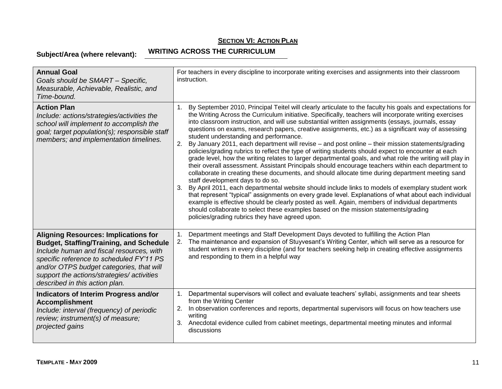**Subject/Area (where relevant): WRITING ACROSS THE CURRICULUM**

| <b>Annual Goal</b><br>Goals should be SMART - Specific,<br>Measurable, Achievable, Realistic, and<br>Time-bound.                                                                                                                                                                                                  | For teachers in every discipline to incorporate writing exercises and assignments into their classroom<br>instruction.                                                                                                                                                                                                                                                                                                                                                                                                                                                                                                                                                                                                                                                                                                                                                                                                                                                                                                                                                                                                                                                                                                                                                                                                                                                                                                                                                                                                  |
|-------------------------------------------------------------------------------------------------------------------------------------------------------------------------------------------------------------------------------------------------------------------------------------------------------------------|-------------------------------------------------------------------------------------------------------------------------------------------------------------------------------------------------------------------------------------------------------------------------------------------------------------------------------------------------------------------------------------------------------------------------------------------------------------------------------------------------------------------------------------------------------------------------------------------------------------------------------------------------------------------------------------------------------------------------------------------------------------------------------------------------------------------------------------------------------------------------------------------------------------------------------------------------------------------------------------------------------------------------------------------------------------------------------------------------------------------------------------------------------------------------------------------------------------------------------------------------------------------------------------------------------------------------------------------------------------------------------------------------------------------------------------------------------------------------------------------------------------------------|
| <b>Action Plan</b><br>Include: actions/strategies/activities the<br>school will implement to accomplish the<br>goal; target population(s); responsible staff<br>members; and implementation timelines.                                                                                                            | By September 2010, Principal Teitel will clearly articulate to the faculty his goals and expectations for<br>1.<br>the Writing Across the Curriculum initiative. Specifically, teachers will incorporate writing exercises<br>into classroom instruction, and will use substantial written assignments (essays, journals, essay<br>questions on exams, research papers, creative assignments, etc.) as a significant way of assessing<br>student understanding and performance.<br>2.<br>By January 2011, each department will revise - and post online - their mission statements/grading<br>policies/grading rubrics to reflect the type of writing students should expect to encounter at each<br>grade level, how the writing relates to larger departmental goals, and what role the writing will play in<br>their overall assessment. Assistant Principals should encourage teachers within each department to<br>collaborate in creating these documents, and should allocate time during department meeting sand<br>staff development days to do so.<br>By April 2011, each departmental website should include links to models of exemplary student work<br>that represent "typical" assignments on every grade level. Explanations of what about each individual<br>example is effective should be clearly posted as well. Again, members of individual departments<br>should collaborate to select these examples based on the mission statements/grading<br>policies/grading rubrics they have agreed upon. |
| <b>Aligning Resources: Implications for</b><br><b>Budget, Staffing/Training, and Schedule</b><br>Include human and fiscal resources, with<br>specific reference to scheduled FY'11 PS<br>and/or OTPS budget categories, that will<br>support the actions/strategies/ activities<br>described in this action plan. | Department meetings and Staff Development Days devoted to fulfilling the Action Plan<br>$\mathbf{1}$ .<br>The maintenance and expansion of Stuyvesant's Writing Center, which will serve as a resource for<br>2.<br>student writers in every discipline (and for teachers seeking help in creating effective assignments<br>and responding to them in a helpful way                                                                                                                                                                                                                                                                                                                                                                                                                                                                                                                                                                                                                                                                                                                                                                                                                                                                                                                                                                                                                                                                                                                                                     |
| <b>Indicators of Interim Progress and/or</b><br><b>Accomplishment</b><br>Include: interval (frequency) of periodic<br>review; instrument(s) of measure;<br>projected gains                                                                                                                                        | Departmental supervisors will collect and evaluate teachers' syllabi, assignments and tear sheets<br>1.<br>from the Writing Center<br>In observation conferences and reports, departmental supervisors will focus on how teachers use<br>2.<br>writing<br>Anecdotal evidence culled from cabinet meetings, departmental meeting minutes and informal<br>3.<br>discussions                                                                                                                                                                                                                                                                                                                                                                                                                                                                                                                                                                                                                                                                                                                                                                                                                                                                                                                                                                                                                                                                                                                                               |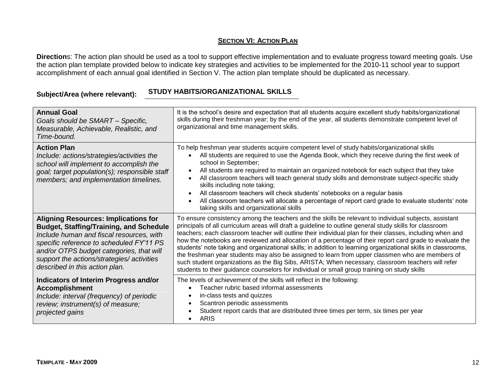**Direction**s: The action plan should be used as a tool to support effective implementation and to evaluate progress toward meeting goals. Use the action plan template provided below to indicate key strategies and activities to be implemented for the 2010-11 school year to support accomplishment of each annual goal identified in Section V. The action plan template should be duplicated as necessary.

## **Subject/Area (where relevant): STUDY HABITS/ORGANIZATIONAL SKILLS**

| <b>Annual Goal</b><br>Goals should be SMART - Specific,<br>Measurable, Achievable, Realistic, and<br>Time-bound.                                                                                                                                                                                                  | It is the school's desire and expectation that all students acquire excellent study habits/organizational<br>skills during their freshman year; by the end of the year, all students demonstrate competent level of<br>organizational and time management skills.                                                                                                                                                                                                                                                                                                                                                                                                                                                                                                                                                                                                  |
|-------------------------------------------------------------------------------------------------------------------------------------------------------------------------------------------------------------------------------------------------------------------------------------------------------------------|--------------------------------------------------------------------------------------------------------------------------------------------------------------------------------------------------------------------------------------------------------------------------------------------------------------------------------------------------------------------------------------------------------------------------------------------------------------------------------------------------------------------------------------------------------------------------------------------------------------------------------------------------------------------------------------------------------------------------------------------------------------------------------------------------------------------------------------------------------------------|
| <b>Action Plan</b><br>Include: actions/strategies/activities the<br>school will implement to accomplish the<br>goal; target population(s); responsible staff<br>members; and implementation timelines.                                                                                                            | To help freshman year students acquire competent level of study habits/organizational skills<br>All students are required to use the Agenda Book, which they receive during the first week of<br>$\bullet$<br>school in September;<br>All students are required to maintain an organized notebook for each subject that they take<br>$\bullet$<br>All classroom teachers will teach general study skills and demonstrate subject-specific study<br>$\bullet$<br>skills including note taking;<br>All classroom teachers will check students' notebooks on a regular basis<br>$\bullet$<br>All classroom teachers will allocate a percentage of report card grade to evaluate students' note<br>$\bullet$<br>taking skills and organizational skills                                                                                                                |
| <b>Aligning Resources: Implications for</b><br><b>Budget, Staffing/Training, and Schedule</b><br>Include human and fiscal resources, with<br>specific reference to scheduled FY'11 PS<br>and/or OTPS budget categories, that will<br>support the actions/strategies/ activities<br>described in this action plan. | To ensure consistency among the teachers and the skills be relevant to individual subjects, assistant<br>principals of all curriculum areas will draft a guideline to outline general study skills for classroom<br>teachers; each classroom teacher will outline their individual plan for their classes, including when and<br>how the notebooks are reviewed and allocation of a percentage of their report card grade to evaluate the<br>students' note taking and organizational skills; in addition to learning organizational skills in classrooms,<br>the freshman year students may also be assigned to learn from upper classmen who are members of<br>such student organizations as the Big Sibs, ARISTA; When necessary, classroom teachers will refer<br>students to their guidance counselors for individual or small group training on study skills |
| Indicators of Interim Progress and/or<br><b>Accomplishment</b><br>Include: interval (frequency) of periodic<br>review; instrument(s) of measure;<br>projected gains                                                                                                                                               | The levels of achievement of the skills will reflect in the following:<br>Teacher rubric based informal assessments<br>$\bullet$<br>in-class tests and quizzes<br>$\bullet$<br>Scantron periodic assessments<br>$\bullet$<br>Student report cards that are distributed three times per term, six times per year<br><b>ARIS</b>                                                                                                                                                                                                                                                                                                                                                                                                                                                                                                                                     |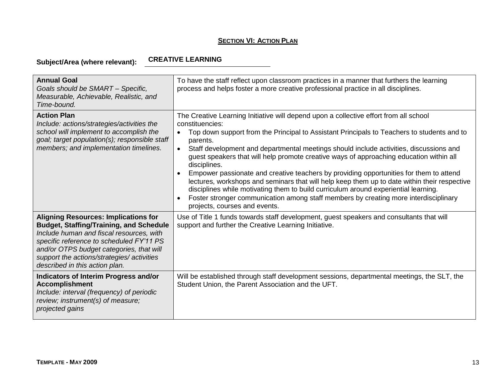**Subject/Area (where relevant):**

#### **CREATIVE LEARNING**

| <b>Annual Goal</b><br>Goals should be SMART - Specific,<br>Measurable, Achievable, Realistic, and<br>Time-bound.                                                                                                                                                                                                 | To have the staff reflect upon classroom practices in a manner that furthers the learning<br>process and helps foster a more creative professional practice in all disciplines.                                                                                                                                                                                                                                                                                                                                                                                                                                                                                                                                                                                                                                                                             |
|------------------------------------------------------------------------------------------------------------------------------------------------------------------------------------------------------------------------------------------------------------------------------------------------------------------|-------------------------------------------------------------------------------------------------------------------------------------------------------------------------------------------------------------------------------------------------------------------------------------------------------------------------------------------------------------------------------------------------------------------------------------------------------------------------------------------------------------------------------------------------------------------------------------------------------------------------------------------------------------------------------------------------------------------------------------------------------------------------------------------------------------------------------------------------------------|
| <b>Action Plan</b><br>Include: actions/strategies/activities the<br>school will implement to accomplish the<br>goal; target population(s); responsible staff<br>members; and implementation timelines.                                                                                                           | The Creative Learning Initiative will depend upon a collective effort from all school<br>constituencies:<br>Top down support from the Principal to Assistant Principals to Teachers to students and to<br>$\bullet$<br>parents.<br>Staff development and departmental meetings should include activities, discussions and<br>$\bullet$<br>guest speakers that will help promote creative ways of approaching education within all<br>disciplines.<br>Empower passionate and creative teachers by providing opportunities for them to attend<br>lectures, workshops and seminars that will help keep them up to date within their respective<br>disciplines while motivating them to build curriculum around experiential learning.<br>Foster stronger communication among staff members by creating more interdisciplinary<br>projects, courses and events. |
| <b>Aligning Resources: Implications for</b><br><b>Budget, Staffing/Training, and Schedule</b><br>Include human and fiscal resources, with<br>specific reference to scheduled FY'11 PS<br>and/or OTPS budget categories, that will<br>support the actions/strategies/activities<br>described in this action plan. | Use of Title 1 funds towards staff development, guest speakers and consultants that will<br>support and further the Creative Learning Initiative.                                                                                                                                                                                                                                                                                                                                                                                                                                                                                                                                                                                                                                                                                                           |
| Indicators of Interim Progress and/or<br><b>Accomplishment</b><br>Include: interval (frequency) of periodic<br>review; instrument(s) of measure;<br>projected gains                                                                                                                                              | Will be established through staff development sessions, departmental meetings, the SLT, the<br>Student Union, the Parent Association and the UFT.                                                                                                                                                                                                                                                                                                                                                                                                                                                                                                                                                                                                                                                                                                           |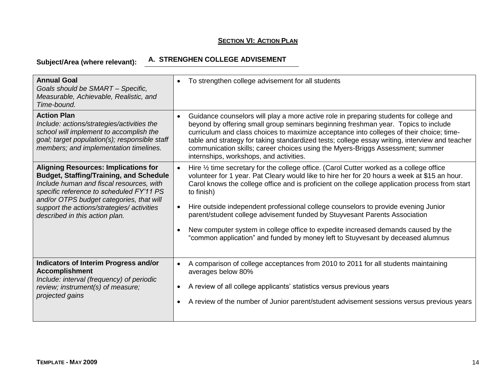# **Subject/Area (where relevant): A. STRENGHEN COLLEGE ADVISEMENT**

| <b>Annual Goal</b><br>Goals should be SMART - Specific,<br>Measurable, Achievable, Realistic, and<br>Time-bound.                                                                                                                                                                                                  | To strengthen college advisement for all students<br>$\bullet$                                                                                                                                                                                                                                                                                                                                                                                                                                                                                                                                                                                                                                        |
|-------------------------------------------------------------------------------------------------------------------------------------------------------------------------------------------------------------------------------------------------------------------------------------------------------------------|-------------------------------------------------------------------------------------------------------------------------------------------------------------------------------------------------------------------------------------------------------------------------------------------------------------------------------------------------------------------------------------------------------------------------------------------------------------------------------------------------------------------------------------------------------------------------------------------------------------------------------------------------------------------------------------------------------|
| <b>Action Plan</b><br>Include: actions/strategies/activities the<br>school will implement to accomplish the<br>goal; target population(s); responsible staff<br>members; and implementation timelines.                                                                                                            | Guidance counselors will play a more active role in preparing students for college and<br>$\bullet$<br>beyond by offering small group seminars beginning freshman year. Topics to include<br>curriculum and class choices to maximize acceptance into colleges of their choice; time-<br>table and strategy for taking standardized tests; college essay writing, interview and teacher<br>communication skills; career choices using the Myers-Briggs Assessment; summer<br>internships, workshops, and activities.                                                                                                                                                                                  |
| <b>Aligning Resources: Implications for</b><br><b>Budget, Staffing/Training, and Schedule</b><br>Include human and fiscal resources, with<br>specific reference to scheduled FY'11 PS<br>and/or OTPS budget categories, that will<br>support the actions/strategies/ activities<br>described in this action plan. | Hire $\frac{1}{2}$ time secretary for the college office. (Carol Cutter worked as a college office<br>$\bullet$<br>volunteer for 1 year. Pat Cleary would like to hire her for 20 hours a week at \$15 an hour.<br>Carol knows the college office and is proficient on the college application process from start<br>to finish)<br>Hire outside independent professional college counselors to provide evening Junior<br>$\bullet$<br>parent/student college advisement funded by Stuyvesant Parents Association<br>New computer system in college office to expedite increased demands caused by the<br>$\bullet$<br>"common application" and funded by money left to Stuyvesant by deceased alumnus |
| Indicators of Interim Progress and/or<br><b>Accomplishment</b><br>Include: interval (frequency) of periodic<br>review; instrument(s) of measure;<br>projected gains                                                                                                                                               | A comparison of college acceptances from 2010 to 2011 for all students maintaining<br>$\bullet$<br>averages below 80%<br>A review of all college applicants' statistics versus previous years<br>$\bullet$<br>A review of the number of Junior parent/student advisement sessions versus previous years<br>$\bullet$                                                                                                                                                                                                                                                                                                                                                                                  |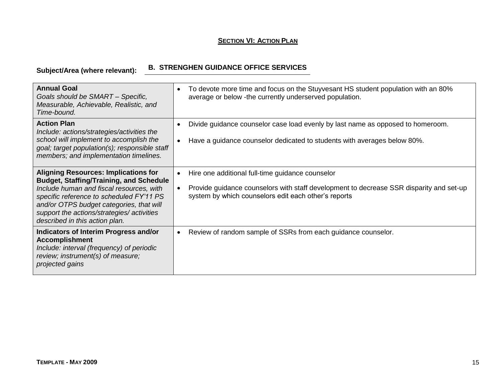# **Subject/Area (where relevant): B. STRENGHEN GUIDANCE OFFICE SERVICES**

| <b>Annual Goal</b><br>Goals should be SMART - Specific,<br>Measurable, Achievable, Realistic, and<br>Time-bound.                                                                                                                                                                                                  | To devote more time and focus on the Stuyvesant HS student population with an 80%<br>$\bullet$<br>average or below -the currently underserved population.                                                                     |
|-------------------------------------------------------------------------------------------------------------------------------------------------------------------------------------------------------------------------------------------------------------------------------------------------------------------|-------------------------------------------------------------------------------------------------------------------------------------------------------------------------------------------------------------------------------|
| <b>Action Plan</b><br>Include: actions/strategies/activities the<br>school will implement to accomplish the<br>goal; target population(s); responsible staff<br>members; and implementation timelines.                                                                                                            | Divide guidance counselor case load evenly by last name as opposed to homeroom.<br>$\bullet$<br>Have a guidance counselor dedicated to students with averages below 80%.<br>$\bullet$                                         |
| <b>Aligning Resources: Implications for</b><br><b>Budget, Staffing/Training, and Schedule</b><br>Include human and fiscal resources, with<br>specific reference to scheduled FY'11 PS<br>and/or OTPS budget categories, that will<br>support the actions/strategies/ activities<br>described in this action plan. | Hire one additional full-time guidance counselor<br>$\bullet$<br>Provide guidance counselors with staff development to decrease SSR disparity and set-up<br>$\bullet$<br>system by which counselors edit each other's reports |
| Indicators of Interim Progress and/or<br><b>Accomplishment</b><br>Include: interval (frequency) of periodic<br>review; instrument(s) of measure;<br>projected gains                                                                                                                                               | Review of random sample of SSRs from each guidance counselor.<br>$\bullet$                                                                                                                                                    |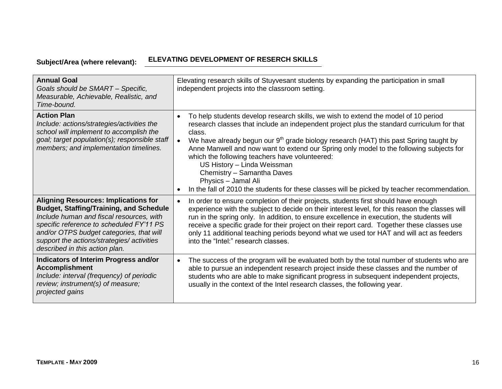# **Subject/Area (where relevant): ELEVATING DEVELOPMENT OF RESERCH SKILLS**

| <b>Annual Goal</b><br>Goals should be SMART - Specific,<br>Measurable, Achievable, Realistic, and<br>Time-bound.                                                                                                                                                                                                  | Elevating research skills of Stuyvesant students by expanding the participation in small<br>independent projects into the classroom setting.                                                                                                                                                                                                                                                                                                                                                                                                                                                                                                                            |
|-------------------------------------------------------------------------------------------------------------------------------------------------------------------------------------------------------------------------------------------------------------------------------------------------------------------|-------------------------------------------------------------------------------------------------------------------------------------------------------------------------------------------------------------------------------------------------------------------------------------------------------------------------------------------------------------------------------------------------------------------------------------------------------------------------------------------------------------------------------------------------------------------------------------------------------------------------------------------------------------------------|
| <b>Action Plan</b><br>Include: actions/strategies/activities the<br>school will implement to accomplish the<br>goal; target population(s); responsible staff<br>members; and implementation timelines.                                                                                                            | To help students develop research skills, we wish to extend the model of 10 period<br>$\bullet$<br>research classes that include an independent project plus the standard curriculum for that<br>class.<br>We have already begun our 9 <sup>th</sup> grade biology research (HAT) this past Spring taught by<br>$\bullet$<br>Anne Manwell and now want to extend our Spring only model to the following subjects for<br>which the following teachers have volunteered:<br>US History - Linda Weissman<br>Chemistry - Samantha Daves<br>Physics - Jamal Ali<br>In the fall of 2010 the students for these classes will be picked by teacher recommendation.<br>$\bullet$ |
| <b>Aligning Resources: Implications for</b><br><b>Budget, Staffing/Training, and Schedule</b><br>Include human and fiscal resources, with<br>specific reference to scheduled FY'11 PS<br>and/or OTPS budget categories, that will<br>support the actions/strategies/ activities<br>described in this action plan. | In order to ensure completion of their projects, students first should have enough<br>$\bullet$<br>experience with the subject to decide on their interest level, for this reason the classes will<br>run in the spring only. In addition, to ensure excellence in execution, the students will<br>receive a specific grade for their project on their report card. Together these classes use<br>only 11 additional teaching periods beyond what we used tor HAT and will act as feeders<br>into the "Intel:" research classes.                                                                                                                                        |
| Indicators of Interim Progress and/or<br><b>Accomplishment</b><br>Include: interval (frequency) of periodic<br>review; instrument(s) of measure;<br>projected gains                                                                                                                                               | The success of the program will be evaluated both by the total number of students who are<br>$\bullet$<br>able to pursue an independent research project inside these classes and the number of<br>students who are able to make significant progress in subsequent independent projects,<br>usually in the context of the Intel research classes, the following year.                                                                                                                                                                                                                                                                                                  |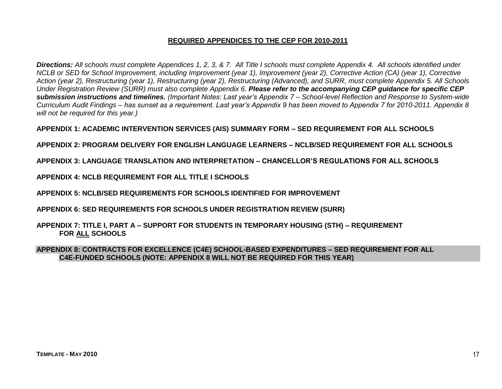#### **REQUIRED APPENDICES TO THE CEP FOR 2010-2011**

*Directions: All schools must complete Appendices 1, 2, 3, & 7. All Title I schools must complete Appendix 4. All schools identified under NCLB or SED for School Improvement, including Improvement (year 1), Improvement (year 2), Corrective Action (CA) (year 1), Corrective Action (year 2), Restructuring (year 1), Restructuring (year 2), Restructuring (Advanced), and SURR, must complete Appendix 5. All Schools Under Registration Review (SURR) must also complete Appendix 6. Please refer to the accompanying CEP guidance for specific CEP submission instructions and timelines. (Important Notes: Last year's Appendix 7 – School-level Reflection and Response to System-wide Curriculum Audit Findings – has sunset as a requirement. Last year's Appendix 9 has been moved to Appendix 7 for 2010-2011. Appendix 8 will not be required for this year.)*

**APPENDIX 1: ACADEMIC INTERVENTION SERVICES (AIS) SUMMARY FORM – SED REQUIREMENT FOR ALL SCHOOLS**

**APPENDIX 2: PROGRAM DELIVERY FOR ENGLISH LANGUAGE LEARNERS – NCLB/SED REQUIREMENT FOR ALL SCHOOLS**

**APPENDIX 3: LANGUAGE TRANSLATION AND INTERPRETATION – CHANCELLOR'S REGULATIONS FOR ALL SCHOOLS**

**APPENDIX 4: NCLB REQUIREMENT FOR ALL TITLE I SCHOOLS**

**APPENDIX 5: NCLB/SED REQUIREMENTS FOR SCHOOLS IDENTIFIED FOR IMPROVEMENT**

**APPENDIX 6: SED REQUIREMENTS FOR SCHOOLS UNDER REGISTRATION REVIEW (SURR)**

**APPENDIX 7: TITLE I, PART A – SUPPORT FOR STUDENTS IN TEMPORARY HOUSING (STH) – REQUIREMENT FOR ALL SCHOOLS**

**APPENDIX 8: CONTRACTS FOR EXCELLENCE (C4E) SCHOOL-BASED EXPENDITURES – SED REQUIREMENT FOR ALL C4E-FUNDED SCHOOLS (NOTE: APPENDIX 8 WILL NOT BE REQUIRED FOR THIS YEAR)**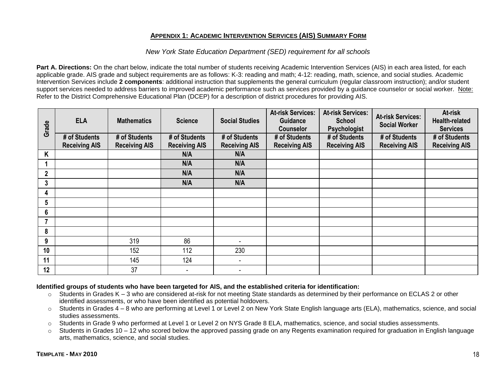#### **APPENDIX 1: ACADEMIC INTERVENTION SERVICES (AIS) SUMMARY FORM**

#### *New York State Education Department (SED) requirement for all schools*

**Part A. Directions:** On the chart below, indicate the total number of students receiving Academic Intervention Services (AIS) in each area listed, for each applicable grade. AIS grade and subject requirements are as follows: K-3: reading and math; 4-12: reading, math, science, and social studies. Academic Intervention Services include **2 components**: additional instruction that supplements the general curriculum (regular classroom instruction); and/or student support services needed to address barriers to improved academic performance such as services provided by a guidance counselor or social worker. Note: Refer to the District Comprehensive Educational Plan (DCEP) for a description of district procedures for providing AIS.

| Grade        | <b>ELA</b>           | <b>Mathematics</b>   | <b>Science</b>       | <b>Social Studies</b>    | <b>At-risk Services:</b><br><b>Guidance</b><br><b>Counselor</b> | <b>At-risk Services:</b><br><b>School</b><br>Psychologist | <b>At-risk Services:</b><br><b>Social Worker</b> | At-risk<br><b>Health-related</b><br><b>Services</b> |
|--------------|----------------------|----------------------|----------------------|--------------------------|-----------------------------------------------------------------|-----------------------------------------------------------|--------------------------------------------------|-----------------------------------------------------|
|              | # of Students        | # of Students        | # of Students        | # of Students            | # of Students                                                   | # of Students                                             | # of Students                                    | # of Students                                       |
|              | <b>Receiving AIS</b> | <b>Receiving AIS</b> | <b>Receiving AIS</b> | <b>Receiving AIS</b>     | <b>Receiving AIS</b>                                            | <b>Receiving AIS</b>                                      | <b>Receiving AIS</b>                             | <b>Receiving AIS</b>                                |
| Κ            |                      |                      | N/A                  | N/A                      |                                                                 |                                                           |                                                  |                                                     |
|              |                      |                      | N/A                  | N/A                      |                                                                 |                                                           |                                                  |                                                     |
| $\mathbf{2}$ |                      |                      | N/A                  | N/A                      |                                                                 |                                                           |                                                  |                                                     |
| 3            |                      |                      | N/A                  | N/A                      |                                                                 |                                                           |                                                  |                                                     |
| 4            |                      |                      |                      |                          |                                                                 |                                                           |                                                  |                                                     |
| 5            |                      |                      |                      |                          |                                                                 |                                                           |                                                  |                                                     |
| 6            |                      |                      |                      |                          |                                                                 |                                                           |                                                  |                                                     |
| 7            |                      |                      |                      |                          |                                                                 |                                                           |                                                  |                                                     |
| 8            |                      |                      |                      |                          |                                                                 |                                                           |                                                  |                                                     |
| 9            |                      | 319                  | 86                   | $\blacksquare$           |                                                                 |                                                           |                                                  |                                                     |
| 10           |                      | 152                  | 112                  | 230                      |                                                                 |                                                           |                                                  |                                                     |
| 11           |                      | 145                  | 124                  | $\sim$                   |                                                                 |                                                           |                                                  |                                                     |
| 12           |                      | 37                   | ۰                    | $\overline{\phantom{a}}$ |                                                                 |                                                           |                                                  |                                                     |

#### **Identified groups of students who have been targeted for AIS, and the established criteria for identification:**

- o Students in Grades K 3 who are considered at-risk for not meeting State standards as determined by their performance on ECLAS 2 or other identified assessments, or who have been identified as potential holdovers.
- o Students in Grades 4 8 who are performing at Level 1 or Level 2 on New York State English language arts (ELA), mathematics, science, and social studies assessments.
- o Students in Grade 9 who performed at Level 1 or Level 2 on NYS Grade 8 ELA, mathematics, science, and social studies assessments.
- $\circ$  Students in Grades 10 12 who scored below the approved passing grade on any Regents examination required for graduation in English language arts, mathematics, science, and social studies.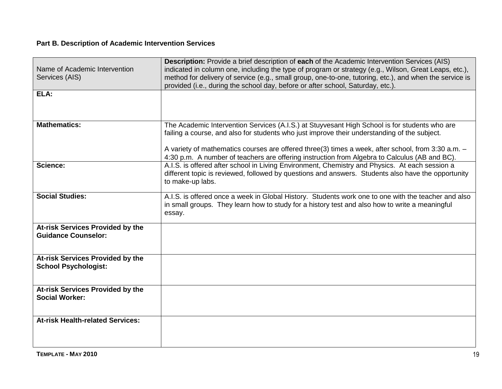#### **Part B. Description of Academic Intervention Services**

| Name of Academic Intervention<br>Services (AIS)                 | <b>Description:</b> Provide a brief description of each of the Academic Intervention Services (AIS)<br>indicated in column one, including the type of program or strategy (e.g., Wilson, Great Leaps, etc.),<br>method for delivery of service (e.g., small group, one-to-one, tutoring, etc.), and when the service is<br>provided (i.e., during the school day, before or after school, Saturday, etc.). |
|-----------------------------------------------------------------|------------------------------------------------------------------------------------------------------------------------------------------------------------------------------------------------------------------------------------------------------------------------------------------------------------------------------------------------------------------------------------------------------------|
| ELA:                                                            |                                                                                                                                                                                                                                                                                                                                                                                                            |
| <b>Mathematics:</b>                                             | The Academic Intervention Services (A.I.S.) at Stuyvesant High School is for students who are<br>failing a course, and also for students who just improve their understanding of the subject.<br>A variety of mathematics courses are offered three(3) times a week, after school, from 3:30 a.m. -<br>4:30 p.m. A number of teachers are offering instruction from Algebra to Calculus (AB and BC).       |
| Science:                                                        | A.I.S. is offered after school in Living Environment, Chemistry and Physics. At each session a<br>different topic is reviewed, followed by questions and answers. Students also have the opportunity<br>to make-up labs.                                                                                                                                                                                   |
| <b>Social Studies:</b>                                          | A.I.S. is offered once a week in Global History. Students work one to one with the teacher and also<br>in small groups. They learn how to study for a history test and also how to write a meaningful<br>essay.                                                                                                                                                                                            |
| At-risk Services Provided by the<br><b>Guidance Counselor:</b>  |                                                                                                                                                                                                                                                                                                                                                                                                            |
| At-risk Services Provided by the<br><b>School Psychologist:</b> |                                                                                                                                                                                                                                                                                                                                                                                                            |
| At-risk Services Provided by the<br><b>Social Worker:</b>       |                                                                                                                                                                                                                                                                                                                                                                                                            |
| <b>At-risk Health-related Services:</b>                         |                                                                                                                                                                                                                                                                                                                                                                                                            |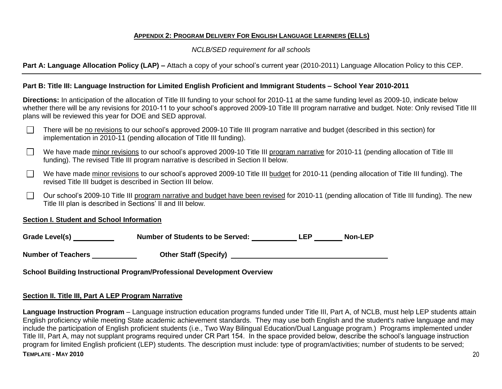#### **APPENDIX 2: PROGRAM DELIVERY FOR ENGLISH LANGUAGE LEARNERS (ELLS)**

*NCLB/SED requirement for all schools*

**Part A: Language Allocation Policy (LAP) –** Attach a copy of your school's current year (2010-2011) Language Allocation Policy to this CEP.

#### **Part B: Title III: Language Instruction for Limited English Proficient and Immigrant Students – School Year 2010-2011**

**Directions:** In anticipation of the allocation of Title III funding to your school for 2010-11 at the same funding level as 2009-10, indicate below whether there will be any revisions for 2010-11 to your school's approved 2009-10 Title III program narrative and budget. Note: Only revised Title III plans will be reviewed this year for DOE and SED approval.

- There will be no revisions to our school's approved 2009-10 Title III program narrative and budget (described in this section) for implementation in 2010-11 (pending allocation of Title III funding).
- We have made minor revisions to our school's approved 2009-10 Title III program narrative for 2010-11 (pending allocation of Title III funding). The revised Title III program narrative is described in Section II below.
- We have made minor revisions to our school's approved 2009-10 Title III budget for 2010-11 (pending allocation of Title III funding). The  $\mathcal{L}^{\mathcal{A}}$ revised Title III budget is described in Section III below.
- $\sim$ Our school's 2009-10 Title III program narrative and budget have been revised for 2010-11 (pending allocation of Title III funding). The new Title III plan is described in Sections' II and III below.

#### **Section I. Student and School Information**

Grade Level(s) Mumber of Students to be Served: Non-LEP

**Number of Teachers Other Staff (Specify)** 

**School Building Instructional Program/Professional Development Overview**

#### **Section II. Title III, Part A LEP Program Narrative**

**TEMPLATE - MAY 2010** 20 **Language Instruction Program** – Language instruction education programs funded under Title III, Part A, of NCLB, must help LEP students attain English proficiency while meeting State academic achievement standards. They may use both English and the student's native language and may include the participation of English proficient students (i.e., Two Way Bilingual Education/Dual Language program.) Programs implemented under Title III, Part A, may not supplant programs required under CR Part 154. In the space provided below, describe the school's language instruction program for limited English proficient (LEP) students. The description must include: type of program/activities; number of students to be served;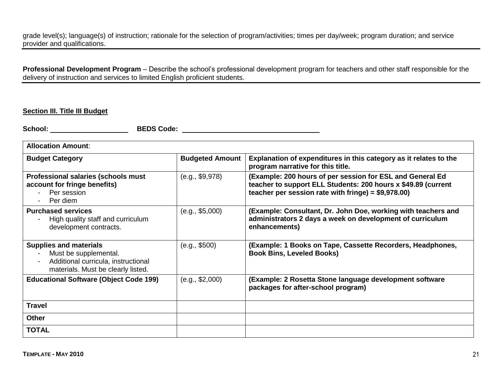grade level(s); language(s) of instruction; rationale for the selection of program/activities; times per day/week; program duration; and service provider and qualifications.

**Professional Development Program** – Describe the school's professional development program for teachers and other staff responsible for the delivery of instruction and services to limited English proficient students.

#### **Section III. Title III Budget**

**School: BEDS Code:** 

| <b>Allocation Amount:</b>                                                                                                           |                        |                                                                                                                                                                                     |  |  |  |  |
|-------------------------------------------------------------------------------------------------------------------------------------|------------------------|-------------------------------------------------------------------------------------------------------------------------------------------------------------------------------------|--|--|--|--|
| <b>Budget Category</b>                                                                                                              | <b>Budgeted Amount</b> | Explanation of expenditures in this category as it relates to the<br>program narrative for this title.                                                                              |  |  |  |  |
| Professional salaries (schools must<br>account for fringe benefits)<br>Per session<br>Per diem                                      | (e.g., \$9,978)        | (Example: 200 hours of per session for ESL and General Ed<br>teacher to support ELL Students: 200 hours x \$49.89 (current<br>teacher per session rate with fringe) = $$9,978.00$ ) |  |  |  |  |
| <b>Purchased services</b><br>High quality staff and curriculum<br>development contracts.                                            | (e.g., \$5,000)        | (Example: Consultant, Dr. John Doe, working with teachers and<br>administrators 2 days a week on development of curriculum<br>enhancements)                                         |  |  |  |  |
| <b>Supplies and materials</b><br>Must be supplemental.<br>Additional curricula, instructional<br>materials. Must be clearly listed. | (e.g., \$500)          | (Example: 1 Books on Tape, Cassette Recorders, Headphones,<br><b>Book Bins, Leveled Books)</b>                                                                                      |  |  |  |  |
| <b>Educational Software (Object Code 199)</b>                                                                                       | (e.g., \$2,000)        | (Example: 2 Rosetta Stone language development software<br>packages for after-school program)                                                                                       |  |  |  |  |
| <b>Travel</b>                                                                                                                       |                        |                                                                                                                                                                                     |  |  |  |  |
| <b>Other</b>                                                                                                                        |                        |                                                                                                                                                                                     |  |  |  |  |
| <b>TOTAL</b>                                                                                                                        |                        |                                                                                                                                                                                     |  |  |  |  |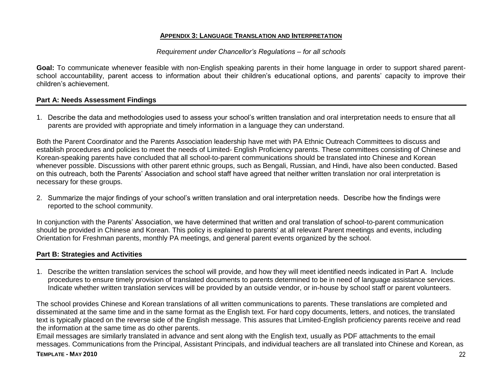#### **APPENDIX 3: LANGUAGE TRANSLATION AND INTERPRETATION**

#### *Requirement under Chancellor's Regulations – for all schools*

Goal: To communicate whenever feasible with non-English speaking parents in their home language in order to support shared parentschool accountability, parent access to information about their children's educational options, and parents' capacity to improve their children's achievement.

#### **Part A: Needs Assessment Findings**

1. Describe the data and methodologies used to assess your school's written translation and oral interpretation needs to ensure that all parents are provided with appropriate and timely information in a language they can understand.

Both the Parent Coordinator and the Parents Association leadership have met with PA Ethnic Outreach Committees to discuss and establish procedures and policies to meet the needs of Limited- English Proficiency parents. These committees consisting of Chinese and Korean-speaking parents have concluded that all school-to-parent communications should be translated into Chinese and Korean whenever possible. Discussions with other parent ethnic groups, such as Bengali, Russian, and Hindi, have also been conducted. Based on this outreach, both the Parents' Association and school staff have agreed that neither written translation nor oral interpretation is necessary for these groups.

2. Summarize the major findings of your school's written translation and oral interpretation needs. Describe how the findings were reported to the school community.

In conjunction with the Parents' Association, we have determined that written and oral translation of school-to-parent communication should be provided in Chinese and Korean. This policy is explained to parents' at all relevant Parent meetings and events, including Orientation for Freshman parents, monthly PA meetings, and general parent events organized by the school.

#### **Part B: Strategies and Activities**

1. Describe the written translation services the school will provide, and how they will meet identified needs indicated in Part A. Include procedures to ensure timely provision of translated documents to parents determined to be in need of language assistance services. Indicate whether written translation services will be provided by an outside vendor, or in-house by school staff or parent volunteers.

The school provides Chinese and Korean translations of all written communications to parents. These translations are completed and disseminated at the same time and in the same format as the English text. For hard copy documents, letters, and notices, the translated text is typically placed on the reverse side of the English message. This assures that Limited-English proficiency parents receive and read the information at the same time as do other parents.

Email messages are similarly translated in advance and sent along with the English text, usually as PDF attachments to the email messages. Communications from the Principal, Assistant Principals, and individual teachers are all translated into Chinese and Korean, as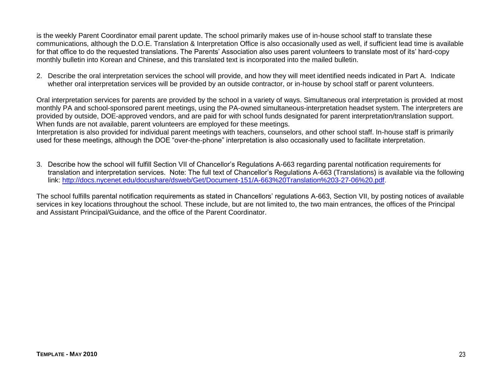is the weekly Parent Coordinator email parent update. The school primarily makes use of in-house school staff to translate these communications, although the D.O.E. Translation & Interpretation Office is also occasionally used as well, if sufficient lead time is available for that office to do the requested translations. The Parents' Association also uses parent volunteers to translate most of its' hard-copy monthly bulletin into Korean and Chinese, and this translated text is incorporated into the mailed bulletin.

2. Describe the oral interpretation services the school will provide, and how they will meet identified needs indicated in Part A. Indicate whether oral interpretation services will be provided by an outside contractor, or in-house by school staff or parent volunteers.

Oral interpretation services for parents are provided by the school in a variety of ways. Simultaneous oral interpretation is provided at most monthly PA and school-sponsored parent meetings, using the PA-owned simultaneous-interpretation headset system. The interpreters are provided by outside, DOE-approved vendors, and are paid for with school funds designated for parent interpretation/translation support. When funds are not available, parent volunteers are employed for these meetings.

Interpretation is also provided for individual parent meetings with teachers, counselors, and other school staff. In-house staff is primarily used for these meetings, although the DOE "over-the-phone" interpretation is also occasionally used to facilitate interpretation.

3. Describe how the school will fulfill Section VII of Chancellor's Regulations A-663 regarding parental notification requirements for translation and interpretation services. Note: The full text of Chancellor's Regulations A-663 (Translations) is available via the following link: [http://docs.nycenet.edu/docushare/dsweb/Get/Document-151/A-663%20Translation%203-27-06%20.pdf.](http://docs.nycenet.edu/docushare/dsweb/Get/Document-151/A-663%20Translation%203-27-06%20.pdf)

The school fulfills parental notification requirements as stated in Chancellors' regulations A-663, Section VII, by posting notices of available services in key locations throughout the school. These include, but are not limited to, the two main entrances, the offices of the Principal and Assistant Principal/Guidance, and the office of the Parent Coordinator.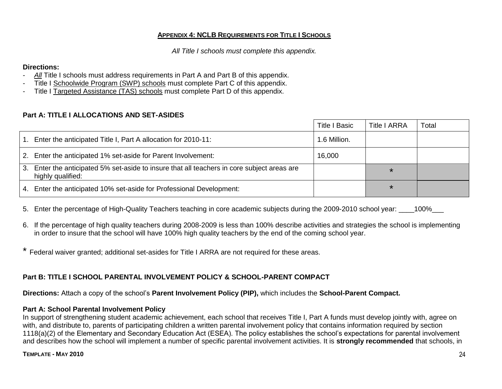#### **APPENDIX 4: NCLB REQUIREMENTS FOR TITLE I SCHOOLS**

*All Title I schools must complete this appendix.*

#### **Directions:**

- All Title I schools must address requirements in Part A and Part B of this appendix.
- Title I Schoolwide Program (SWP) schools must complete Part C of this appendix.
- Title I Targeted Assistance (TAS) schools must complete Part D of this appendix.

#### **Part A: TITLE I ALLOCATIONS AND SET-ASIDES**

|      |                                                                                                                  | <b>Title I Basic</b> | <b>Title I ARRA</b> | Total |
|------|------------------------------------------------------------------------------------------------------------------|----------------------|---------------------|-------|
| . 1. | Enter the anticipated Title I, Part A allocation for 2010-11:                                                    | 1.6 Million.         |                     |       |
|      | 2. Enter the anticipated 1% set-aside for Parent Involvement:                                                    | 16,000               |                     |       |
|      | 3. Enter the anticipated 5% set-aside to insure that all teachers in core subject areas are<br>highly qualified: |                      | $\star$             |       |
|      | 4. Enter the anticipated 10% set-aside for Professional Development:                                             |                      | $\star$             |       |

5. Enter the percentage of High-Quality Teachers teaching in core academic subjects during the 2009-2010 school year: 100%

- 6. If the percentage of high quality teachers during 2008-2009 is less than 100% describe activities and strategies the school is implementing in order to insure that the school will have 100% high quality teachers by the end of the coming school year.
- \* Federal waiver granted; additional set-asides for Title I ARRA are not required for these areas.

#### **Part B: TITLE I SCHOOL PARENTAL INVOLVEMENT POLICY & SCHOOL-PARENT COMPACT**

**Directions:** Attach a copy of the school's **Parent Involvement Policy (PIP),** which includes the **School-Parent Compact.**

#### **Part A: School Parental Involvement Policy**

In support of strengthening student academic achievement, each school that receives Title I, Part A funds must develop jointly with, agree on with, and distribute to, parents of participating children a written parental involvement policy that contains information required by section 1118(a)(2) of the Elementary and Secondary Education Act (ESEA). The policy establishes the school's expectations for parental involvement and describes how the school will implement a number of specific parental involvement activities. It is **strongly recommended** that schools, in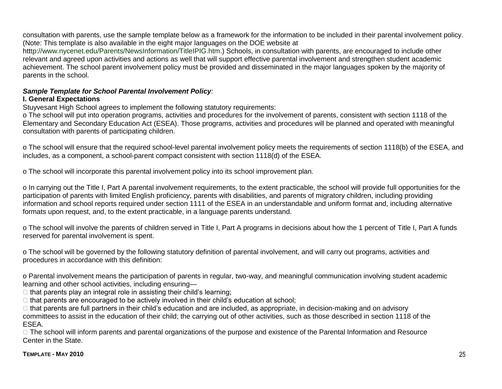consultation with parents, use the sample template below as a framework for the information to be included in their parental involvement policy. (Note: This template is also available in the eight major languages on the DOE website at

htttp://www.nycenet.edu/Parents/NewsInformation/TitleIPIG.htm.) Schools, in consultation with parents, are encouraged to include other relevant and agreed upon activities and actions as well that will support effective parental involvement and strengthen student academic achievement. The school parent involvement policy must be provided and disseminated in the major languages spoken by the majority of parents in the school.

## *Sample Template for School Parental Involvement Policy:*

#### **I. General Expectations**

Stuyvesant High School agrees to implement the following statutory requirements:

o The school will put into operation programs, activities and procedures for the involvement of parents, consistent with section 1118 of the Elementary and Secondary Education Act (ESEA). Those programs, activities and procedures will be planned and operated with meaningful consultation with parents of participating children.

o The school will ensure that the required school-level parental involvement policy meets the requirements of section 1118(b) of the ESEA, and includes, as a component, a school-parent compact consistent with section 1118(d) of the ESEA.

o The school will incorporate this parental involvement policy into its school improvement plan.

o In carrying out the Title I, Part A parental involvement requirements, to the extent practicable, the school will provide full opportunities for the participation of parents with limited English proficiency, parents with disabilities, and parents of migratory children, including providing information and school reports required under section 1111 of the ESEA in an understandable and uniform format and, including alternative formats upon request, and, to the extent practicable, in a language parents understand.

o The school will involve the parents of children served in Title I, Part A programs in decisions about how the 1 percent of Title I, Part A funds reserved for parental involvement is spent.

o The school will be governed by the following statutory definition of parental involvement, and will carry out programs, activities and procedures in accordance with this definition:

o Parental involvement means the participation of parents in regular, two-way, and meaningful communication involving student academic learning and other school activities, including ensuring—

 $\Box$  that parents play an integral role in assisting their child's learning;

 $\Box$  that parents are encouraged to be actively involved in their child's education at school;

 $\Box$  that parents are full partners in their child's education and are included, as appropriate, in decision-making and on advisory committees to assist in the education of their child; the carrying out of other activities, such as those described in section 1118 of the ESEA.

□ The school will inform parents and parental organizations of the purpose and existence of the Parental Information and Resource Center in the State.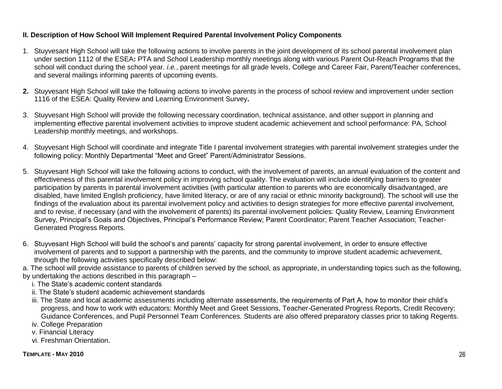#### **II. Description of How School Will Implement Required Parental Involvement Policy Components**

- 1. Stuyvesant High School will take the following actions to involve parents in the joint development of its school parental involvement plan under section 1112 of the ESEA**:** PTA and School Leadership monthly meetings along with various Parent Out-Reach Programs that the school will conduct during the school year. *i.e.*, parent meetings for all grade levels, College and Career Fair, Parent/Teacher conferences, and several mailings informing parents of upcoming events.
- **2.** Stuyvesant High School will take the following actions to involve parents in the process of school review and improvement under section 1116 of the ESEA: Quality Review and Learning Environment Survey**.**
- 3. Stuyvesant High School will provide the following necessary coordination, technical assistance, and other support in planning and implementing effective parental involvement activities to improve student academic achievement and school performance: PA, School Leadership monthly meetings, and workshops.
- 4. Stuyvesant High School will coordinate and integrate Title I parental involvement strategies with parental involvement strategies under the following policy: Monthly Departmental "Meet and Greet" Parent/Administrator Sessions.
- 5. Stuyvesant High School will take the following actions to conduct, with the involvement of parents, an annual evaluation of the content and effectiveness of this parental involvement policy in improving school quality. The evaluation will include identifying barriers to greater participation by parents in parental involvement activities (with particular attention to parents who are economically disadvantaged, are disabled, have limited English proficiency, have limited literacy, or are of any racial or ethnic minority background). The school will use the findings of the evaluation about its parental involvement policy and activities to design strategies for more effective parental involvement, and to revise, if necessary (and with the involvement of parents) its parental involvement policies: Quality Review, Learning Environment Survey, Principal's Goals and Objectives, Principal's Performance Review; Parent Coordinator; Parent Teacher Association; Teacher-Generated Progress Reports.
- 6. Stuyvesant High School will build the school's and parents' capacity for strong parental involvement, in order to ensure effective involvement of parents and to support a partnership with the parents, and the community to improve student academic achievement, through the following activities specifically described below:
- a. The school will provide assistance to parents of children served by the school, as appropriate, in understanding topics such as the following, by undertaking the actions described in this paragraph –
	- i. The State's academic content standards
	- ii. The State's student academic achievement standards
	- iii. The State and local academic assessments including alternate assessments, the requirements of Part A, how to monitor their child's progress, and how to work with educators: Monthly Meet and Greet Sessions, Teacher-Generated Progress Reports, Credit Recovery; Guidance Conferences, and Pupil Personnel Team Conferences. Students are also offered preparatory classes prior to taking Regents.
	- iv. College Preparation
	- v. Financial Literacy
	- vi. Freshman Orientation.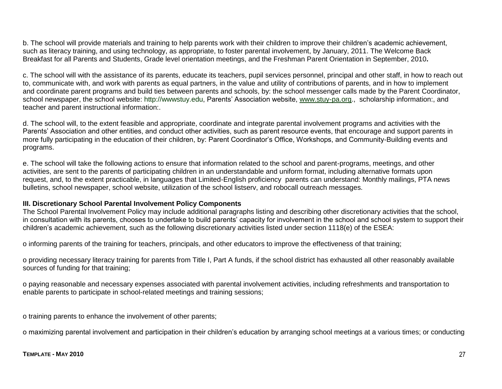b. The school will provide materials and training to help parents work with their children to improve their children's academic achievement, such as literacy training, and using technology, as appropriate, to foster parental involvement, by January, 2011. The Welcome Back Breakfast for all Parents and Students, Grade level orientation meetings, and the Freshman Parent Orientation in September, 2010**.**

c. The school will with the assistance of its parents, educate its teachers, pupil services personnel, principal and other staff, in how to reach out to, communicate with, and work with parents as equal partners, in the value and utility of contributions of parents, and in how to implement and coordinate parent programs and build ties between parents and schools, by: the school messenger calls made by the Parent Coordinator, school newspaper, the school website: http://wwwstuy.edu, Parents' Association website, [www.stuy-pa.org.](http://www.stuy-pa.org/), scholarship information:, and teacher and parent instructional information:.

d. The school will, to the extent feasible and appropriate, coordinate and integrate parental involvement programs and activities with the Parents' Association and other entities, and conduct other activities, such as parent resource events, that encourage and support parents in more fully participating in the education of their children, by: Parent Coordinator's Office, Workshops, and Community-Building events and programs.

e. The school will take the following actions to ensure that information related to the school and parent-programs, meetings, and other activities, are sent to the parents of participating children in an understandable and uniform format, including alternative formats upon request, and, to the extent practicable, in languages that Limited-English proficiency parents can understand: Monthly mailings, PTA news bulletins, school newspaper, school website, utilization of the school listserv, and robocall outreach messages.

#### **III. Discretionary School Parental Involvement Policy Components**

The School Parental Involvement Policy may include additional paragraphs listing and describing other discretionary activities that the school, in consultation with its parents, chooses to undertake to build parents' capacity for involvement in the school and school system to support their children's academic achievement, such as the following discretionary activities listed under section 1118(e) of the ESEA:

o informing parents of the training for teachers, principals, and other educators to improve the effectiveness of that training;

o providing necessary literacy training for parents from Title I, Part A funds, if the school district has exhausted all other reasonably available sources of funding for that training;

o paying reasonable and necessary expenses associated with parental involvement activities, including refreshments and transportation to enable parents to participate in school-related meetings and training sessions;

o training parents to enhance the involvement of other parents;

o maximizing parental involvement and participation in their children's education by arranging school meetings at a various times; or conducting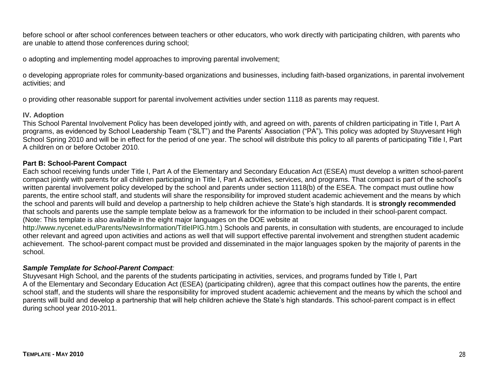before school or after school conferences between teachers or other educators, who work directly with participating children, with parents who are unable to attend those conferences during school;

o adopting and implementing model approaches to improving parental involvement;

o developing appropriate roles for community-based organizations and businesses, including faith-based organizations, in parental involvement activities; and

o providing other reasonable support for parental involvement activities under section 1118 as parents may request.

#### **IV. Adoption**

This School Parental Involvement Policy has been developed jointly with, and agreed on with, parents of children participating in Title I, Part A programs, as evidenced by School Leadership Team ("SLT") and the Parents' Association ("PA"). This policy was adopted by Stuyvesant High School Spring 2010 and will be in effect for the period of one year. The school will distribute this policy to all parents of participating Title I, Part A children on or before October 2010.

#### **Part B: School-Parent Compact**

Each school receiving funds under Title I, Part A of the Elementary and Secondary Education Act (ESEA) must develop a written school-parent compact jointly with parents for all children participating in Title I, Part A activities, services, and programs. That compact is part of the school's written parental involvement policy developed by the school and parents under section 1118(b) of the ESEA. The compact must outline how parents, the entire school staff, and students will share the responsibility for improved student academic achievement and the means by which the school and parents will build and develop a partnership to help children achieve the State's high standards. It is **strongly recommended**  that schools and parents use the sample template below as a framework for the information to be included in their school-parent compact. (Note: This template is also available in the eight major languages on the DOE website at

http://www.nycenet.edu/Parents/NewsInformation/TitleIPIG.htm.) Schools and parents, in consultation with students, are encouraged to include other relevant and agreed upon activities and actions as well that will support effective parental involvement and strengthen student academic achievement. The school-parent compact must be provided and disseminated in the major languages spoken by the majority of parents in the school.

#### *Sample Template for School-Parent Compact:*

Stuyvesant High School, and the parents of the students participating in activities, services, and programs funded by Title I, Part A of the Elementary and Secondary Education Act (ESEA) (participating children), agree that this compact outlines how the parents, the entire school staff, and the students will share the responsibility for improved student academic achievement and the means by which the school and parents will build and develop a partnership that will help children achieve the State's high standards. This school-parent compact is in effect during school year 2010-2011.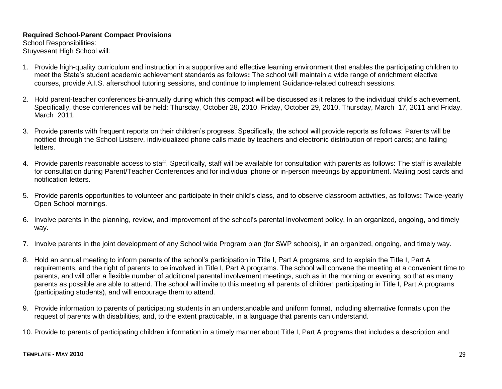#### **Required School-Parent Compact Provisions**

School Responsibilities: Stuyvesant High School will:

- 1. Provide high-quality curriculum and instruction in a supportive and effective learning environment that enables the participating children to meet the State's student academic achievement standards as follows**:** The school will maintain a wide range of enrichment elective courses, provide A.I.S. afterschool tutoring sessions, and continue to implement Guidance-related outreach sessions.
- 2. Hold parent-teacher conferences bi-annually during which this compact will be discussed as it relates to the individual child's achievement. Specifically, those conferences will be held: Thursday, October 28, 2010, Friday, October 29, 2010, Thursday, March 17, 2011 and Friday, March 2011.
- 3. Provide parents with frequent reports on their children's progress. Specifically, the school will provide reports as follows: Parents will be notified through the School Listserv, individualized phone calls made by teachers and electronic distribution of report cards; and failing letters.
- 4. Provide parents reasonable access to staff. Specifically, staff will be available for consultation with parents as follows: The staff is available for consultation during Parent/Teacher Conferences and for individual phone or in-person meetings by appointment. Mailing post cards and notification letters.
- 5. Provide parents opportunities to volunteer and participate in their child's class, and to observe classroom activities, as follows**:** Twice-yearly Open School mornings.
- 6. Involve parents in the planning, review, and improvement of the school's parental involvement policy, in an organized, ongoing, and timely way.
- 7. Involve parents in the joint development of any School wide Program plan (for SWP schools), in an organized, ongoing, and timely way.
- 8. Hold an annual meeting to inform parents of the school's participation in Title I, Part A programs, and to explain the Title I, Part A requirements, and the right of parents to be involved in Title I, Part A programs. The school will convene the meeting at a convenient time to parents, and will offer a flexible number of additional parental involvement meetings, such as in the morning or evening, so that as many parents as possible are able to attend. The school will invite to this meeting all parents of children participating in Title I, Part A programs (participating students), and will encourage them to attend.
- 9. Provide information to parents of participating students in an understandable and uniform format, including alternative formats upon the request of parents with disabilities, and, to the extent practicable, in a language that parents can understand.

10. Provide to parents of participating children information in a timely manner about Title I, Part A programs that includes a description and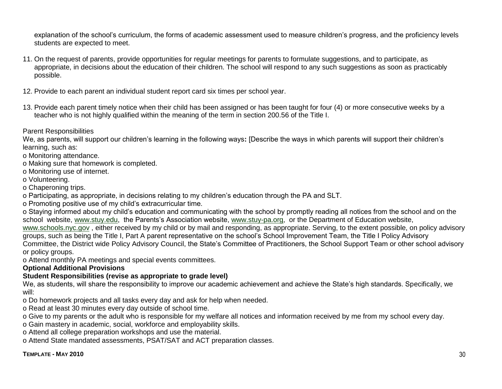explanation of the school's curriculum, the forms of academic assessment used to measure children's progress, and the proficiency levels students are expected to meet.

- 11. On the request of parents, provide opportunities for regular meetings for parents to formulate suggestions, and to participate, as appropriate, in decisions about the education of their children. The school will respond to any such suggestions as soon as practicably possible.
- 12. Provide to each parent an individual student report card six times per school year.
- 13. Provide each parent timely notice when their child has been assigned or has been taught for four (4) or more consecutive weeks by a teacher who is not highly qualified within the meaning of the term in section 200.56 of the Title I.

#### Parent Responsibilities

We, as parents, will support our children's learning in the following ways**:** [Describe the ways in which parents will support their children's learning, such as:

o Monitoring attendance.

- o Making sure that homework is completed.
- o Monitoring use of internet.
- o Volunteering.
- o Chaperoning trips.
- o Participating, as appropriate, in decisions relating to my children's education through the PA and SLT.
- o Promoting positive use of my child's extracurricular time.

o Staying informed about my child's education and communicating with the school by promptly reading all notices from the school and on the school website, [www.stuy.edu,](http://www.stuy.edu/) the Parents's Association website, [www.stuy-pa.org,](http://www.stuy-pa.org/) or the Department of Education website,

[www.schools.nyc.gov](http://www.schools.nyc.gov/) , either received by my child or by mail and responding, as appropriate. Serving, to the extent possible, on policy advisory groups, such as being the Title I, Part A parent representative on the school's School Improvement Team, the Title I Policy Advisory Committee, the District wide Policy Advisory Council, the State's Committee of Practitioners, the School Support Team or other school advisory or policy groups.

o Attend monthly PA meetings and special events committees.

#### **Optional Additional Provisions**

#### **Student Responsibilities (revise as appropriate to grade level)**

We, as students, will share the responsibility to improve our academic achievement and achieve the State's high standards. Specifically, we will:

o Do homework projects and all tasks every day and ask for help when needed.

o Read at least 30 minutes every day outside of school time.

o Give to my parents or the adult who is responsible for my welfare all notices and information received by me from my school every day.

- o Gain mastery in academic, social, workforce and employability skills.
- o Attend all college preparation workshops and use the material.

o Attend State mandated assessments, PSAT/SAT and ACT preparation classes.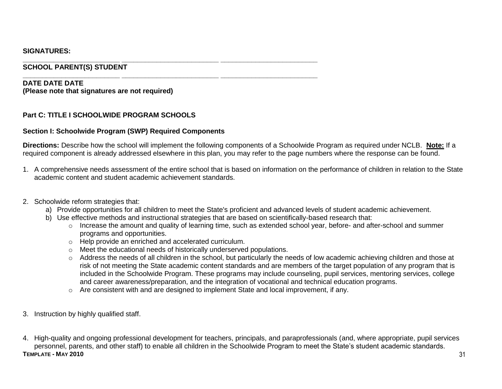#### **SIGNATURES:**

#### **\_\_\_\_\_\_\_\_\_\_\_\_\_\_\_\_\_\_\_\_\_\_\_\_\_ \_\_\_\_\_\_\_\_\_\_\_\_\_\_\_\_\_\_\_\_\_\_\_\_\_ \_\_\_\_\_\_\_\_\_\_\_\_\_\_\_\_\_\_\_\_\_\_\_\_\_ SCHOOL PARENT(S) STUDENT**

#### **DATE DATE DATE (Please note that signatures are not required)**

#### **Part C: TITLE I SCHOOLWIDE PROGRAM SCHOOLS**

#### **Section I: Schoolwide Program (SWP) Required Components**

**Directions:** Describe how the school will implement the following components of a Schoolwide Program as required under NCLB. **Note:** If a required component is already addressed elsewhere in this plan, you may refer to the page numbers where the response can be found.

- 1. A comprehensive needs assessment of the entire school that is based on information on the performance of children in relation to the State academic content and student academic achievement standards.
- 2. Schoolwide reform strategies that:
	- a) Provide opportunities for all children to meet the State's proficient and advanced levels of student academic achievement.
	- b) Use effective methods and instructional strategies that are based on scientifically-based research that:
		- o Increase the amount and quality of learning time, such as extended school year, before- and after-school and summer programs and opportunities.
		- o Help provide an enriched and accelerated curriculum.
		- o Meet the educational needs of historically underserved populations.

**\_\_\_\_\_\_\_\_\_\_\_\_\_\_\_\_\_\_\_\_\_\_\_\_\_ \_\_\_\_\_\_\_\_\_\_\_\_\_\_\_\_\_\_\_\_\_\_\_\_\_ \_\_\_\_\_\_\_\_\_\_\_\_\_\_\_\_\_\_\_\_\_\_\_\_\_**

- o Address the needs of all children in the school, but particularly the needs of low academic achieving children and those at risk of not meeting the State academic content standards and are members of the target population of any program that is included in the Schoolwide Program. These programs may include counseling, pupil services, mentoring services, college and career awareness/preparation, and the integration of vocational and technical education programs.
- o Are consistent with and are designed to implement State and local improvement, if any.
- 3. Instruction by highly qualified staff.
- **TEMPLATE - MAY 2010** 31 4. High-quality and ongoing professional development for teachers, principals, and paraprofessionals (and, where appropriate, pupil services personnel, parents, and other staff) to enable all children in the Schoolwide Program to meet the State's student academic standards.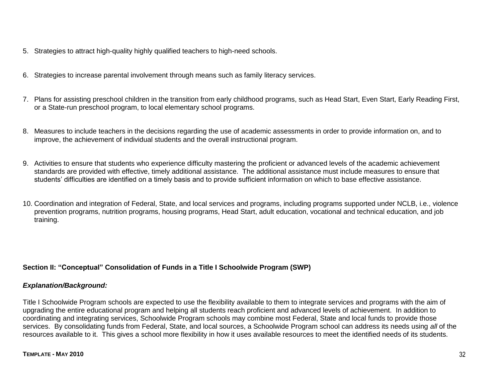- 5. Strategies to attract high-quality highly qualified teachers to high-need schools.
- 6. Strategies to increase parental involvement through means such as family literacy services.
- 7. Plans for assisting preschool children in the transition from early childhood programs, such as Head Start, Even Start, Early Reading First, or a State-run preschool program, to local elementary school programs.
- 8. Measures to include teachers in the decisions regarding the use of academic assessments in order to provide information on, and to improve, the achievement of individual students and the overall instructional program.
- 9. Activities to ensure that students who experience difficulty mastering the proficient or advanced levels of the academic achievement standards are provided with effective, timely additional assistance. The additional assistance must include measures to ensure that students' difficulties are identified on a timely basis and to provide sufficient information on which to base effective assistance.
- 10. Coordination and integration of Federal, State, and local services and programs, including programs supported under NCLB, i.e., violence prevention programs, nutrition programs, housing programs, Head Start, adult education, vocational and technical education, and job training.

#### **Section II: "Conceptual" Consolidation of Funds in a Title I Schoolwide Program (SWP)**

#### *Explanation/Background:*

Title I Schoolwide Program schools are expected to use the flexibility available to them to integrate services and programs with the aim of upgrading the entire educational program and helping all students reach proficient and advanced levels of achievement. In addition to coordinating and integrating services, Schoolwide Program schools may combine most Federal, State and local funds to provide those services. By consolidating funds from Federal, State, and local sources, a Schoolwide Program school can address its needs using *all* of the resources available to it. This gives a school more flexibility in how it uses available resources to meet the identified needs of its students.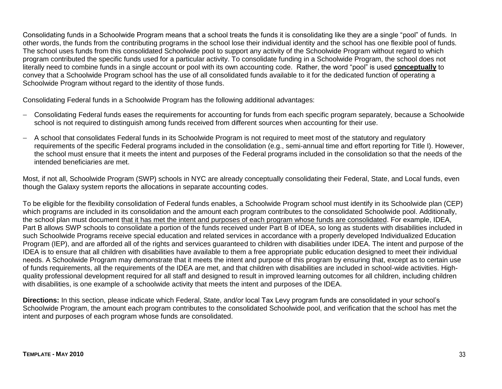Consolidating funds in a Schoolwide Program means that a school treats the funds it is consolidating like they are a single "pool" of funds. In other words, the funds from the contributing programs in the school lose their individual identity and the school has one flexible pool of funds. The school uses funds from this consolidated Schoolwide pool to support any activity of the Schoolwide Program without regard to which program contributed the specific funds used for a particular activity. To consolidate funding in a Schoolwide Program, the school does not literally need to combine funds in a single account or pool with its own accounting code. Rather, the word "pool" is used **conceptually** to convey that a Schoolwide Program school has the use of all consolidated funds available to it for the dedicated function of operating a Schoolwide Program without regard to the identity of those funds.

Consolidating Federal funds in a Schoolwide Program has the following additional advantages:

- Consolidating Federal funds eases the requirements for accounting for funds from each specific program separately, because a Schoolwide school is not required to distinguish among funds received from different sources when accounting for their use.
- A school that consolidates Federal funds in its Schoolwide Program is not required to meet most of the statutory and regulatory requirements of the specific Federal programs included in the consolidation (e.g., semi-annual time and effort reporting for Title I). However, the school must ensure that it meets the intent and purposes of the Federal programs included in the consolidation so that the needs of the intended beneficiaries are met.

Most, if not all, Schoolwide Program (SWP) schools in NYC are already conceptually consolidating their Federal, State, and Local funds, even though the Galaxy system reports the allocations in separate accounting codes.

To be eligible for the flexibility consolidation of Federal funds enables, a Schoolwide Program school must identify in its Schoolwide plan (CEP) which programs are included in its consolidation and the amount each program contributes to the consolidated Schoolwide pool. Additionally, the school plan must document that it has met the intent and purposes of each program whose funds are consolidated. For example, IDEA, Part B allows SWP schools to consolidate a portion of the funds received under Part B of IDEA, so long as students with disabilities included in such Schoolwide Programs receive special education and related services in accordance with a properly developed Individualized Education Program (IEP), and are afforded all of the rights and services guaranteed to children with disabilities under IDEA. The intent and purpose of the IDEA is to ensure that all children with disabilities have available to them a free appropriate public education designed to meet their individual needs. A Schoolwide Program may demonstrate that it meets the intent and purpose of this program by ensuring that, except as to certain use of funds requirements, all the requirements of the IDEA are met, and that children with disabilities are included in school-wide activities. Highquality professional development required for all staff and designed to result in improved learning outcomes for all children, including children with disabilities, is one example of a schoolwide activity that meets the intent and purposes of the IDEA.

**Directions:** In this section, please indicate which Federal, State, and/or local Tax Levy program funds are consolidated in your school's Schoolwide Program, the amount each program contributes to the consolidated Schoolwide pool, and verification that the school has met the intent and purposes of each program whose funds are consolidated.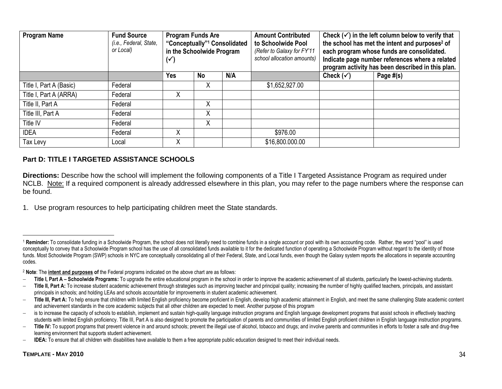| <b>Program Name</b>     | <b>Fund Source</b><br>(i.e., Federal, State,<br>or Local) | <b>Program Funds Are</b><br>"Conceptually" <sup>1</sup> Consolidated<br>in the Schoolwide Program<br>$(\checkmark)$ |           | <b>Amount Contributed</b><br>to Schoolwide Pool<br>(Refer to Galaxy for FY'11<br>school allocation amounts) | Check $(\checkmark)$ in the left column below to verify that<br>the school has met the intent and purposes <sup>2</sup> of<br>each program whose funds are consolidated.<br>Indicate page number references where a related<br>program activity has been described in this plan. |                      |           |
|-------------------------|-----------------------------------------------------------|---------------------------------------------------------------------------------------------------------------------|-----------|-------------------------------------------------------------------------------------------------------------|----------------------------------------------------------------------------------------------------------------------------------------------------------------------------------------------------------------------------------------------------------------------------------|----------------------|-----------|
|                         |                                                           | Yes                                                                                                                 | <b>No</b> | N/A                                                                                                         |                                                                                                                                                                                                                                                                                  | Check $(\checkmark)$ | Page #(s) |
| Title I, Part A (Basic) | Federal                                                   |                                                                                                                     | Χ         |                                                                                                             | \$1,652,927.00                                                                                                                                                                                                                                                                   |                      |           |
| Title I, Part A (ARRA)  | Federal                                                   | Χ                                                                                                                   |           |                                                                                                             |                                                                                                                                                                                                                                                                                  |                      |           |
| Title II, Part A        | Federal                                                   |                                                                                                                     | Χ         |                                                                                                             |                                                                                                                                                                                                                                                                                  |                      |           |
| Title III, Part A       | Federal                                                   |                                                                                                                     | Χ         |                                                                                                             |                                                                                                                                                                                                                                                                                  |                      |           |
| Title IV                | Federal                                                   |                                                                                                                     | Χ         |                                                                                                             |                                                                                                                                                                                                                                                                                  |                      |           |
| <b>IDEA</b>             | Federal                                                   | Χ                                                                                                                   |           |                                                                                                             | \$976.00                                                                                                                                                                                                                                                                         |                      |           |
| Tax Levy                | Local                                                     | Χ                                                                                                                   |           |                                                                                                             | \$16,800.000.00                                                                                                                                                                                                                                                                  |                      |           |

#### **Part D: TITLE I TARGETED ASSISTANCE SCHOOLS**

**Directions:** Describe how the school will implement the following components of a Title I Targeted Assistance Program as required under NCLB. Note: If a required component is already addressed elsewhere in this plan, you may refer to the page numbers where the response can be found.

1. Use program resources to help participating children meet the State standards.

 $\overline{a}$ 

<sup>&</sup>lt;sup>1</sup> Reminder: To consolidate funding in a Schoolwide Program, the school does not literally need to combine funds in a single account or pool with its own accounting code. Rather, the word "pool" is used conceptually to convey that a Schoolwide Program school has the use of all consolidated funds available to it for the dedicated function of operating a Schoolwide Program without regard to the identity of those funds. Most Schoolwide Program (SWP) schools in NYC are conceptually consolidating all of their Federal, State, and Local funds, even though the Galaxy system reports the allocations in separate accounting codes.

<sup>2</sup> **Note**: The **intent and purposes of** the Federal programs indicated on the above chart are as follows:

<sup>-</sup> Title I, Part A - Schoolwide Programs: To upgrade the entire educational program in the school in order to improve the academic achievement of all students, particularly the lowest-achieving students.

<sup>-</sup> Title II, Part A: To increase student academic achievement through strategies such as improving teacher and principal quality; increasing the number of highly qualified teachers, principals, and assistant principals in schools; and holding LEAs and schools accountable for improvements in student academic achievement.

<sup>-</sup> Title III, Part A: To help ensure that children with limited English proficiency become proficient in English, develop high academic attainment in English, and meet the same challenging State academic content and achievement standards in the core academic subjects that all other children are expected to meet. Another purpose of this program

<sup>-</sup> is to increase the capacity of schools to establish, implement and sustain high-quality language instruction programs and English language development programs that assist schools in effectively teaching students with limited English proficiency. Title III, Part A is also designed to promote the participation of parents and communities of limited English proficient children in English language instruction programs.

<sup>-</sup> Title IV: To support programs that prevent violence in and around schools; prevent the illegal use of alcohol, tobacco and drugs; and involve parents and communities in efforts to foster a safe and drug-free learning environment that supports student achievement.

**IDEA:** To ensure that all children with disabilities have available to them a free appropriate public education designed to meet their individual needs.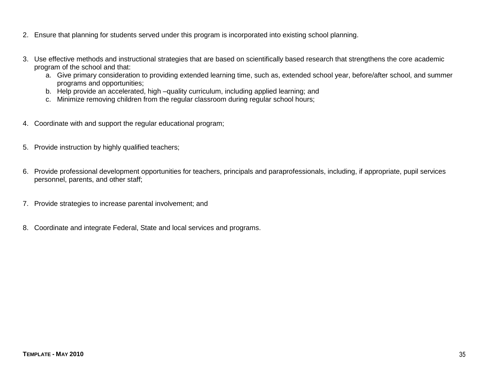- 2. Ensure that planning for students served under this program is incorporated into existing school planning.
- 3. Use effective methods and instructional strategies that are based on scientifically based research that strengthens the core academic program of the school and that:
	- a. Give primary consideration to providing extended learning time, such as, extended school year, before/after school, and summer programs and opportunities;
	- b. Help provide an accelerated, high –quality curriculum, including applied learning; and
	- c. Minimize removing children from the regular classroom during regular school hours;
- 4. Coordinate with and support the regular educational program;
- 5. Provide instruction by highly qualified teachers;
- 6. Provide professional development opportunities for teachers, principals and paraprofessionals, including, if appropriate, pupil services personnel, parents, and other staff;
- 7. Provide strategies to increase parental involvement; and
- 8. Coordinate and integrate Federal, State and local services and programs.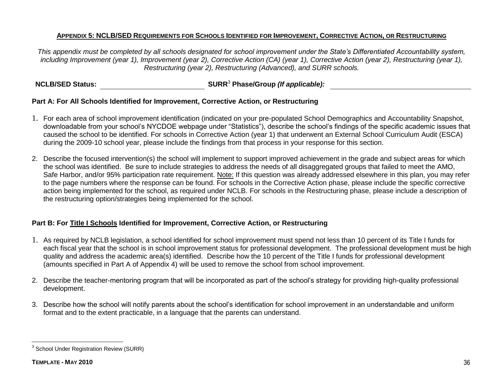#### APPENDIX 5: NCLB/SED REQUIREMENTS FOR SCHOOLS IDENTIFIED FOR IMPROVEMENT. CORRECTIVE ACTION, OR RESTRUCTURING

*This appendix must be completed by all schools designated for school improvement under the State's Differentiated Accountability system, including Improvement (year 1), Improvement (year 2), Corrective Action (CA) (year 1), Corrective Action (year 2), Restructuring (year 1), Restructuring (year 2), Restructuring (Advanced), and SURR schools.*

#### **NCLB/SED Status: SURR**<sup>3</sup> **Phase/Group** *(If applicable):*

#### **Part A: For All Schools Identified for Improvement, Corrective Action, or Restructuring**

- 1. For each area of school improvement identification (indicated on your pre-populated School Demographics and Accountability Snapshot, downloadable from your school's NYCDOE webpage under "Statistics"), describe the school's findings of the specific academic issues that caused the school to be identified. For schools in Corrective Action (year 1) that underwent an External School Curriculum Audit (ESCA) during the 2009-10 school year, please include the findings from that process in your response for this section.
- 2. Describe the focused intervention(s) the school will implement to support improved achievement in the grade and subject areas for which the school was identified. Be sure to include strategies to address the needs of all disaggregated groups that failed to meet the AMO, Safe Harbor, and/or 95% participation rate requirement. Note: If this question was already addressed elsewhere in this plan, you may refer to the page numbers where the response can be found. For schools in the Corrective Action phase, please include the specific corrective action being implemented for the school, as required under NCLB. For schools in the Restructuring phase, please include a description of the restructuring option/strategies being implemented for the school.

#### **Part B: For Title I Schools Identified for Improvement, Corrective Action, or Restructuring**

- 1. As required by NCLB legislation, a school identified for school improvement must spend not less than 10 percent of its Title I funds for each fiscal year that the school is in school improvement status for professional development. The professional development must be high quality and address the academic area(s) identified. Describe how the 10 percent of the Title I funds for professional development (amounts specified in Part A of Appendix 4) will be used to remove the school from school improvement.
- 2. Describe the teacher-mentoring program that will be incorporated as part of the school's strategy for providing high-quality professional development.
- 3. Describe how the school will notify parents about the school's identification for school improvement in an understandable and uniform format and to the extent practicable, in a language that the parents can understand.

 3 School Under Registration Review (SURR)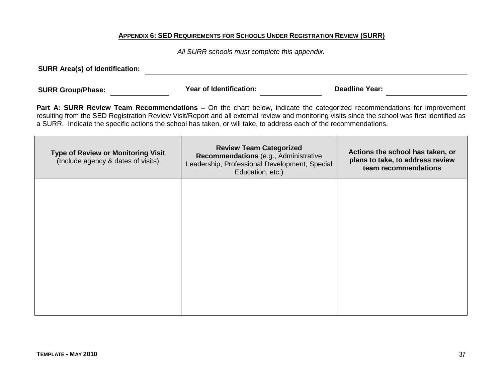#### **APPENDIX 6: SED REQUIREMENTS FOR SCHOOLS UNDER REGISTRATION REVIEW (SURR)**

*All SURR schools must complete this appendix.*

**SURR Area(s) of Identification:**

**SURR Group/Phase: Year of Identification: Deadline Year:**

**Part A: SURR Review Team Recommendations –** On the chart below, indicate the categorized recommendations for improvement resulting from the SED Registration Review Visit/Report and all external review and monitoring visits since the school was first identified as a SURR. Indicate the specific actions the school has taken, or will take, to address each of the recommendations.

| <b>Type of Review or Monitoring Visit</b><br>(Include agency & dates of visits) | <b>Review Team Categorized</b><br>Recommendations (e.g., Administrative<br>Leadership, Professional Development, Special<br>Education, etc.) | Actions the school has taken, or<br>plans to take, to address review<br>team recommendations |
|---------------------------------------------------------------------------------|----------------------------------------------------------------------------------------------------------------------------------------------|----------------------------------------------------------------------------------------------|
|                                                                                 |                                                                                                                                              |                                                                                              |
|                                                                                 |                                                                                                                                              |                                                                                              |
|                                                                                 |                                                                                                                                              |                                                                                              |
|                                                                                 |                                                                                                                                              |                                                                                              |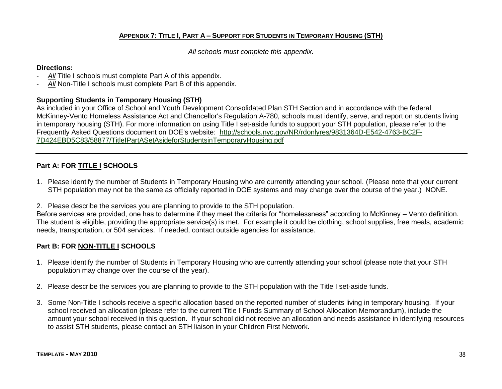#### **APPENDIX 7: TITLE I, PART A – SUPPORT FOR STUDENTS IN TEMPORARY HOUSING (STH)**

*All schools must complete this appendix.*

#### **Directions:**

- All Title I schools must complete Part A of this appendix.
- *All* Non-Title I schools must complete Part B of this appendix.

#### **Supporting Students in Temporary Housing (STH)**

As included in your Office of School and Youth Development Consolidated Plan STH Section and in accordance with the federal McKinney-Vento Homeless Assistance Act and Chancellor's Regulation A-780, schools must identify, serve, and report on students living in temporary housing (STH). For more information on using Title I set-aside funds to support your STH population, please refer to the Frequently Asked Questions document on DOE's website: [http://schools.nyc.gov/NR/rdonlyres/9831364D-E542-4763-BC2F-](https://mail.nycboe.net/exchweb/bin/redir.asp?URL=http://schools.nyc.gov/NR/rdonlyres/9831364D-E542-4763-BC2F-7D424EBD5C83/58877/TitleIPartASetAsideforStudentsinTemporaryHousing.pdf)[7D424EBD5C83/58877/TitleIPartASetAsideforStudentsinTemporaryHousing.pdf](https://mail.nycboe.net/exchweb/bin/redir.asp?URL=http://schools.nyc.gov/NR/rdonlyres/9831364D-E542-4763-BC2F-7D424EBD5C83/58877/TitleIPartASetAsideforStudentsinTemporaryHousing.pdf)

#### **Part A: FOR TITLE I SCHOOLS**

- 1. Please identify the number of Students in Temporary Housing who are currently attending your school. (Please note that your current STH population may not be the same as officially reported in DOE systems and may change over the course of the year.) NONE.
- 2. Please describe the services you are planning to provide to the STH population.

Before services are provided, one has to determine if they meet the criteria for "homelessness" according to McKinney – Vento definition. The student is eligible, providing the appropriate service(s) is met. For example it could be clothing, school supplies, free meals, academic needs, transportation, or 504 services. If needed, contact outside agencies for assistance.

#### **Part B: FOR NON-TITLE I SCHOOLS**

- 1. Please identify the number of Students in Temporary Housing who are currently attending your school (please note that your STH population may change over the course of the year).
- 2. Please describe the services you are planning to provide to the STH population with the Title I set-aside funds.
- 3. Some Non-Title I schools receive a specific allocation based on the reported number of students living in temporary housing. If your school received an allocation (please refer to the current Title I Funds Summary of School Allocation Memorandum), include the amount your school received in this question. If your school did not receive an allocation and needs assistance in identifying resources to assist STH students, please contact an STH liaison in your Children First Network.